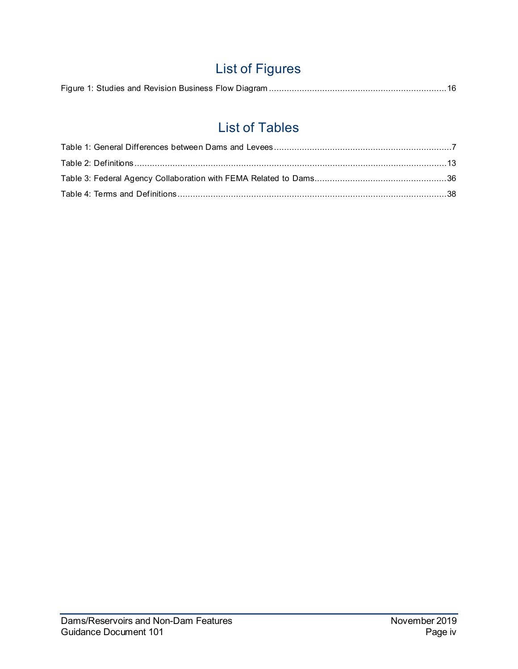# List of Figures

|--|--|

# List of Tables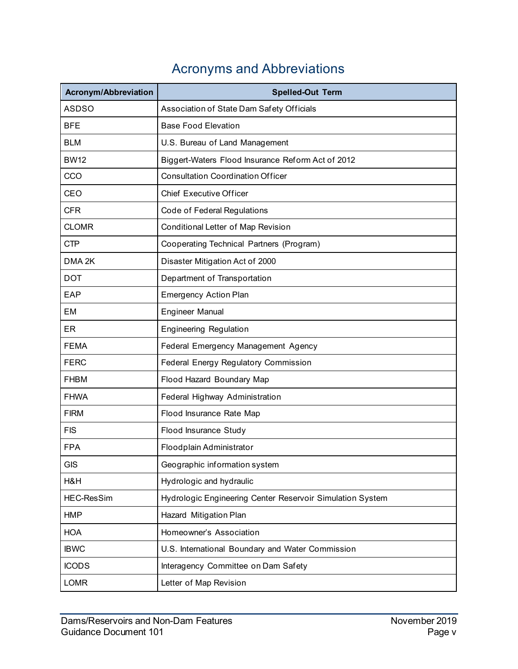# Acronyms and Abbreviations

| <b>Acronym/Abbreviation</b> | <b>Spelled-Out Term</b>                                   |
|-----------------------------|-----------------------------------------------------------|
| <b>ASDSO</b>                | Association of State Dam Safety Officials                 |
| <b>BFE</b>                  | <b>Base Food Elevation</b>                                |
| <b>BLM</b>                  | U.S. Bureau of Land Management                            |
| <b>BW12</b>                 | Biggert-Waters Flood Insurance Reform Act of 2012         |
| CCO                         | <b>Consultation Coordination Officer</b>                  |
| CEO                         | <b>Chief Executive Officer</b>                            |
| <b>CFR</b>                  | Code of Federal Regulations                               |
| <b>CLOMR</b>                | Conditional Letter of Map Revision                        |
| <b>CTP</b>                  | Cooperating Technical Partners (Program)                  |
| DMA <sub>2K</sub>           | Disaster Mitigation Act of 2000                           |
| <b>DOT</b>                  | Department of Transportation                              |
| EAP                         | <b>Emergency Action Plan</b>                              |
| EM                          | <b>Engineer Manual</b>                                    |
| <b>ER</b>                   | <b>Engineering Regulation</b>                             |
| <b>FEMA</b>                 | Federal Emergency Management Agency                       |
| <b>FERC</b>                 | Federal Energy Regulatory Commission                      |
| <b>FHBM</b>                 | Flood Hazard Boundary Map                                 |
| <b>FHWA</b>                 | Federal Highway Administration                            |
| <b>FIRM</b>                 | Flood Insurance Rate Map                                  |
| <b>FIS</b>                  | Flood Insurance Study                                     |
| <b>FPA</b>                  | Floodplain Administrator                                  |
| <b>GIS</b>                  | Geographic information system                             |
| H&H                         | Hydrologic and hydraulic                                  |
| <b>HEC-ResSim</b>           | Hydrologic Engineering Center Reservoir Simulation System |
| <b>HMP</b>                  | Hazard Mitigation Plan                                    |
| <b>HOA</b>                  | Homeowner's Association                                   |
| <b>IBWC</b>                 | U.S. International Boundary and Water Commission          |
| <b>ICODS</b>                | Interagency Committee on Dam Safety                       |
| <b>LOMR</b>                 | Letter of Map Revision                                    |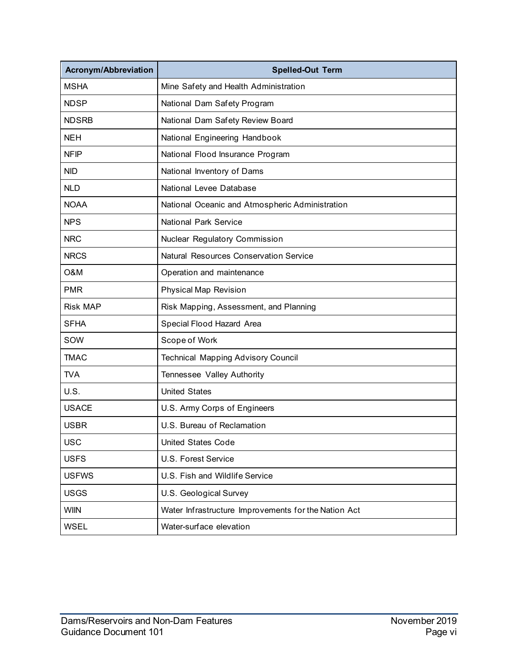| Acronym/Abbreviation | <b>Spelled-Out Term</b>                              |
|----------------------|------------------------------------------------------|
| <b>MSHA</b>          | Mine Safety and Health Administration                |
| <b>NDSP</b>          | National Dam Safety Program                          |
| <b>NDSRB</b>         | National Dam Safety Review Board                     |
| <b>NEH</b>           | National Engineering Handbook                        |
| <b>NFIP</b>          | National Flood Insurance Program                     |
| <b>NID</b>           | National Inventory of Dams                           |
| <b>NLD</b>           | National Levee Database                              |
| <b>NOAA</b>          | National Oceanic and Atmospheric Administration      |
| <b>NPS</b>           | <b>National Park Service</b>                         |
| <b>NRC</b>           | Nuclear Regulatory Commission                        |
| <b>NRCS</b>          | Natural Resources Conservation Service               |
| O&M                  | Operation and maintenance                            |
| <b>PMR</b>           | Physical Map Revision                                |
| <b>Risk MAP</b>      | Risk Mapping, Assessment, and Planning               |
| <b>SFHA</b>          | Special Flood Hazard Area                            |
| SOW                  | Scope of Work                                        |
| <b>TMAC</b>          | <b>Technical Mapping Advisory Council</b>            |
| <b>TVA</b>           | Tennessee Valley Authority                           |
| U.S.                 | <b>United States</b>                                 |
| <b>USACE</b>         | U.S. Army Corps of Engineers                         |
| <b>USBR</b>          | U.S. Bureau of Reclamation                           |
| <b>USC</b>           | <b>United States Code</b>                            |
| <b>USFS</b>          | U.S. Forest Service                                  |
| <b>USFWS</b>         | U.S. Fish and Wildlife Service                       |
| <b>USGS</b>          | U.S. Geological Survey                               |
| <b>WIIN</b>          | Water Infrastructure Improvements for the Nation Act |
| <b>WSEL</b>          | Water-surface elevation                              |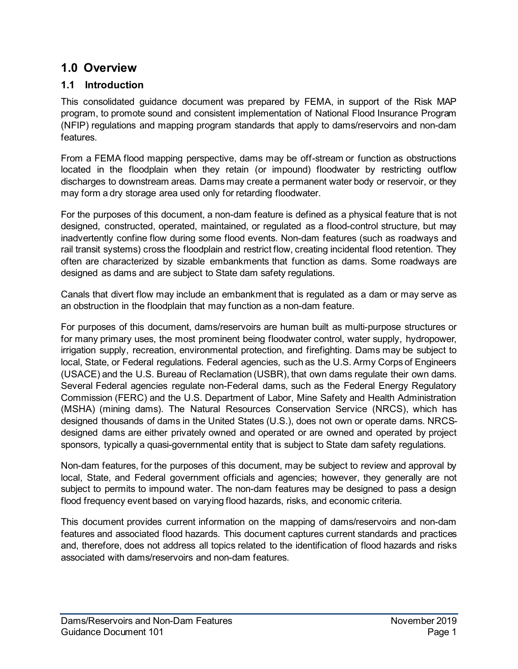## **1.0 Overview**

#### **1.1 Introduction**

This consolidated guidance document was prepared by FEMA, in support of the Risk MAP program, to promote sound and consistent implementation of National Flood Insurance Program (NFIP) regulations and mapping program standards that apply to dams/reservoirs and non-dam features.

From a FEMA flood mapping perspective, dams may be off-stream or function as obstructions located in the floodplain when they retain (or impound) floodwater by restricting outflow discharges to downstream areas. Dams may create a permanent water body or reservoir, or they may form a dry storage area used only for retarding floodwater.

For the purposes of this document, a non-dam feature is defined as a physical feature that is not designed, constructed, operated, maintained, or regulated as a flood-control structure, but may inadvertently confine flow during some flood events. Non-dam features (such as roadways and rail transit systems) cross the floodplain and restrict flow, creating incidental flood retention. They often are characterized by sizable embankments that function as dams. Some roadways are designed as dams and are subject to State dam safety regulations.

Canals that divert flow may include an embankment that is regulated as a dam or may serve as an obstruction in the floodplain that may function as a non-dam feature.

For purposes of this document, dams/reservoirs are human built as multi-purpose structures or for many primary uses, the most prominent being floodwater control, water supply, hydropower, irrigation supply, recreation, environmental protection, and firefighting. Dams may be subject to local, State, or Federal regulations. Federal agencies, such as the U.S. Army Corps of Engineers (USACE) and the U.S. Bureau of Reclamation (USBR), that own dams regulate their own dams. Several Federal agencies regulate non-Federal dams, such as the Federal Energy Regulatory Commission (FERC) and the U.S. Department of Labor, Mine Safety and Health Administration (MSHA) (mining dams). The Natural Resources Conservation Service (NRCS), which has designed thousands of dams in the United States (U.S.), does not own or operate dams. NRCSdesigned dams are either privately owned and operated or are owned and operated by project sponsors, typically a quasi-governmental entity that is subject to State dam safety regulations.

Non-dam features, for the purposes of this document, may be subject to review and approval by local, State, and Federal government officials and agencies; however, they generally are not subject to permits to impound water. The non-dam features may be designed to pass a design flood frequency event based on varying flood hazards, risks, and economic criteria.

This document provides current information on the mapping of dams/reservoirs and non-dam features and associated flood hazards. This document captures current standards and practices and, therefore, does not address all topics related to the identification of flood hazards and risks associated with dams/reservoirs and non-dam features.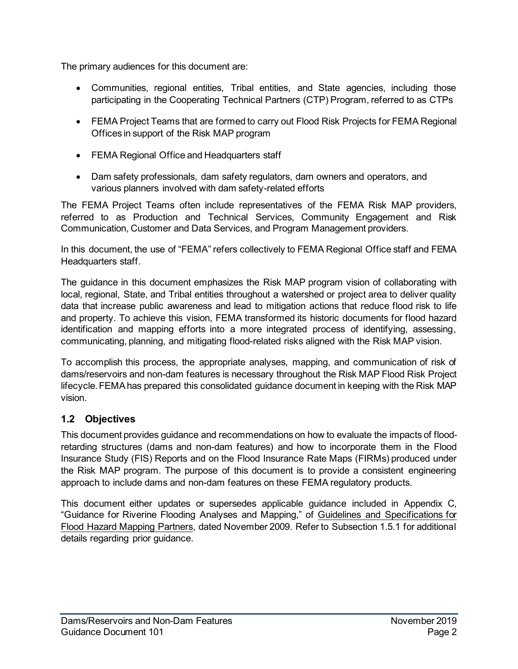The primary audiences for this document are:

- Communities, regional entities, Tribal entities, and State agencies, including those participating in the Cooperating Technical Partners (CTP) Program, referred to as CTPs
- FEMA Project Teams that are formed to carry out Flood Risk Projects for FEMA Regional Offices in support of the Risk MAP program
- FEMA Regional Office and Headquarters staff
- Dam safety professionals, dam safety regulators, dam owners and operators, and various planners involved with dam safety-related efforts

The FEMA Project Teams often include representatives of the FEMA Risk MAP providers, referred to as Production and Technical Services, Community Engagement and Risk Communication, Customer and Data Services, and Program Management providers.

In this document, the use of "FEMA" refers collectively to FEMA Regional Office staff and FEMA Headquarters staff.

The guidance in this document emphasizes the Risk MAP program vision of collaborating with local, regional, State, and Tribal entities throughout a watershed or project area to deliver quality data that increase public awareness and lead to mitigation actions that reduce flood risk to life and property. To achieve this vision, FEMA transformed its historic documents for flood hazard identification and mapping efforts into a more integrated process of identifying, assessing, communicating, planning, and mitigating flood-related risks aligned with the Risk MAP vision.

To accomplish this process, the appropriate analyses, mapping, and communication of risk of dams/reservoirs and non-dam features is necessary throughout the Risk MAP Flood Risk Project lifecycle. FEMA has prepared this consolidated guidance document in keeping with the Risk MAP vision.

### **1.2 Objectives**

This document provides guidance and recommendations on how to evaluate the impacts of floodretarding structures (dams and non-dam features) and how to incorporate them in the Flood Insurance Study (FIS) Reports and on the Flood Insurance Rate Maps (FIRMs) produced under the Risk MAP program. The purpose of this document is to provide a consistent engineering approach to include dams and non-dam features on these FEMA regulatory products.

This document either updates or supersedes applicable guidance included in Appendix C, "Guidance for Riverine Flooding Analyses and Mapping," of Guidelines and Specifications for Flood Hazard Mapping Partners, dated November 2009. Refer to Subsection 1.5.1 for additional details regarding prior guidance.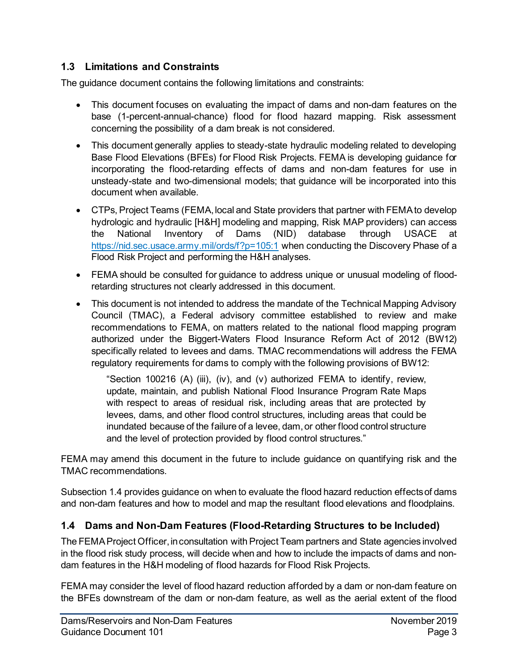#### **1.3 Limitations and Constraints**

The guidance document contains the following limitations and constraints:

- This document focuses on evaluating the impact of dams and non-dam features on the base (1-percent-annual-chance) flood for flood hazard mapping. Risk assessment concerning the possibility of a dam break is not considered.
- This document generally applies to steady-state hydraulic modeling related to developing Base Flood Elevations (BFEs) for Flood Risk Projects. FEMA is developing guidance for incorporating the flood-retarding effects of dams and non-dam features for use in unsteady-state and two-dimensional models; that guidance will be incorporated into this document when available.
- CTPs, Project Teams (FEMA, local and State providers that partner with FEMA to develop hydrologic and hydraulic [H&H] modeling and mapping, Risk MAP providers) can access the National Inventory of Dams (NID) database through USACE at <https://nid.sec.usace.army.mil/ords/f?p=105:1> when conducting the Discovery Phase of a Flood Risk Project and performing the H&H analyses.
- FEMA should be consulted for guidance to address unique or unusual modeling of floodretarding structures not clearly addressed in this document.
- This document is not intended to address the mandate of the Technical Mapping Advisory Council (TMAC), a Federal advisory committee established to review and make recommendations to FEMA, on matters related to the national flood mapping program authorized under the Biggert-Waters Flood Insurance Reform Act of 2012 (BW12) specifically related to levees and dams. TMAC recommendations will address the FEMA regulatory requirements for dams to comply with the following provisions of BW12:

"Section 100216 (A) (iii), (iv), and (v) authorized FEMA to identify, review, update, maintain, and publish National Flood Insurance Program Rate Maps with respect to areas of residual risk, including areas that are protected by levees, dams, and other flood control structures, including areas that could be inundated because of the failure of a levee, dam, or other flood control structure and the level of protection provided by flood control structures."

FEMA may amend this document in the future to include guidance on quantifying risk and the TMAC recommendations.

Subsection 1.4 provides guidance on when to evaluate the flood hazard reduction effects of dams and non-dam features and how to model and map the resultant flood elevations and floodplains.

### **1.4 Dams and Non-Dam Features (Flood-Retarding Structures to be Included)**

The FEMA Project Officer, in consultation with Project Team partners and State agencies involved in the flood risk study process, will decide when and how to include the impacts of dams and nondam features in the H&H modeling of flood hazards for Flood Risk Projects.

FEMA may consider the level of flood hazard reduction afforded by a dam or non-dam feature on the BFEs downstream of the dam or non-dam feature, as well as the aerial extent of the flood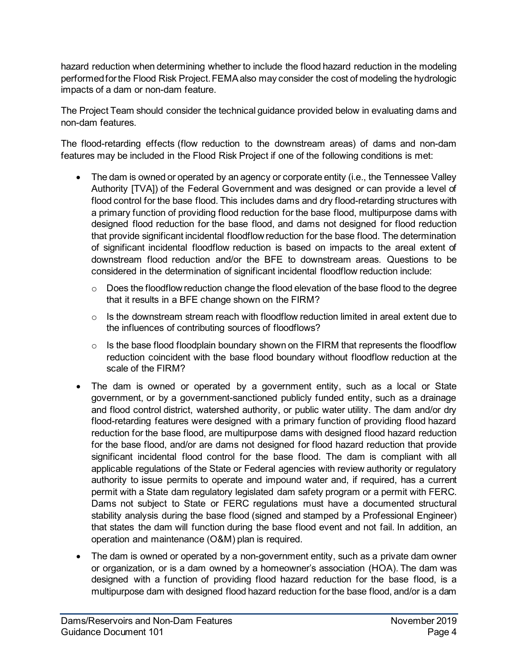hazard reduction when determining whether to include the flood hazard reduction in the modeling performed for the Flood Risk Project. FEMA also may consider the cost of modeling the hydrologic impacts of a dam or non-dam feature.

The Project Team should consider the technical guidance provided below in evaluating dams and non-dam features.

The flood-retarding effects (flow reduction to the downstream areas) of dams and non-dam features may be included in the Flood Risk Project if one of the following conditions is met:

- The dam is owned or operated by an agency or corporate entity (i.e., the Tennessee Valley Authority [TVA]) of the Federal Government and was designed or can provide a level of flood control for the base flood. This includes dams and dry flood-retarding structures with a primary function of providing flood reduction for the base flood, multipurpose dams with designed flood reduction for the base flood, and dams not designed for flood reduction that provide significant incidental floodflow reduction for the base flood. The determination of significant incidental floodflow reduction is based on impacts to the areal extent of downstream flood reduction and/or the BFE to downstream areas. Questions to be considered in the determination of significant incidental floodflow reduction include:
	- $\circ$  Does the floodflow reduction change the flood elevation of the base flood to the degree that it results in a BFE change shown on the FIRM?
	- $\circ$  Is the downstream stream reach with floodflow reduction limited in areal extent due to the influences of contributing sources of floodflows?
	- $\circ$  Is the base flood floodplain boundary shown on the FIRM that represents the floodflow reduction coincident with the base flood boundary without floodflow reduction at the scale of the FIRM?
- The dam is owned or operated by a government entity, such as a local or State government, or by a government-sanctioned publicly funded entity, such as a drainage and flood control district, watershed authority, or public water utility. The dam and/or dry flood-retarding features were designed with a primary function of providing flood hazard reduction for the base flood, are multipurpose dams with designed flood hazard reduction for the base flood, and/or are dams not designed for flood hazard reduction that provide significant incidental flood control for the base flood. The dam is compliant with all applicable regulations of the State or Federal agencies with review authority or regulatory authority to issue permits to operate and impound water and, if required, has a current permit with a State dam regulatory legislated dam safety program or a permit with FERC. Dams not subject to State or FERC regulations must have a documented structural stability analysis during the base flood (signed and stamped by a Professional Engineer) that states the dam will function during the base flood event and not fail. In addition, an operation and maintenance (O&M) plan is required.
- The dam is owned or operated by a non-government entity, such as a private dam owner or organization, or is a dam owned by a homeowner's association (HOA). The dam was designed with a function of providing flood hazard reduction for the base flood, is a multipurpose dam with designed flood hazard reduction for the base flood, and/or is a dam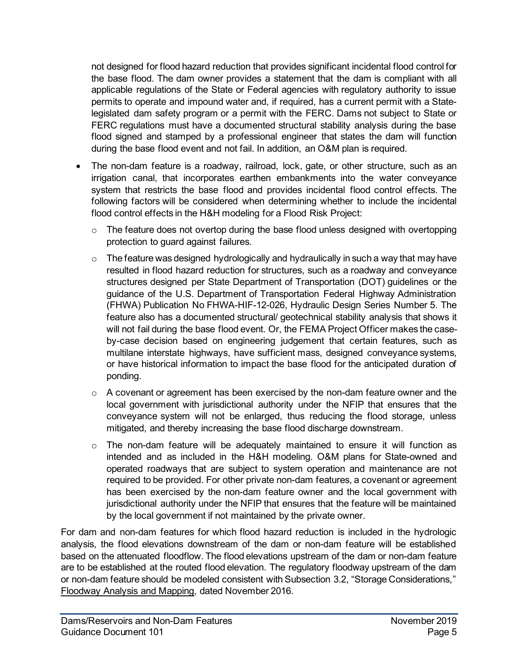not designed for flood hazard reduction that provides significant incidental flood control for the base flood. The dam owner provides a statement that the dam is compliant with all applicable regulations of the State or Federal agencies with regulatory authority to issue permits to operate and impound water and, if required, has a current permit with a Statelegislated dam safety program or a permit with the FERC. Dams not subject to State or FERC regulations must have a documented structural stability analysis during the base flood signed and stamped by a professional engineer that states the dam will function during the base flood event and not fail. In addition, an O&M plan is required.

- The non-dam feature is a roadway, railroad, lock, gate, or other structure, such as an irrigation canal, that incorporates earthen embankments into the water conveyance system that restricts the base flood and provides incidental flood control effects. The following factors will be considered when determining whether to include the incidental flood control effects in the H&H modeling for a Flood Risk Project:
	- $\circ$  The feature does not overtop during the base flood unless designed with overtopping protection to guard against failures.
	- $\circ$  The feature was designed hydrologically and hydraulically in such a way that may have resulted in flood hazard reduction for structures, such as a roadway and conveyance structures designed per State Department of Transportation (DOT) guidelines or the guidance of the U.S. Department of Transportation Federal Highway Administration (FHWA) Publication No FHWA-HIF-12-026, Hydraulic Design Series Number 5. The feature also has a documented structural/ geotechnical stability analysis that shows it will not fail during the base flood event. Or, the FEMA Project Officer makes the caseby-case decision based on engineering judgement that certain features, such as multilane interstate highways, have sufficient mass, designed conveyance systems, or have historical information to impact the base flood for the anticipated duration of ponding.
	- $\circ$  A covenant or agreement has been exercised by the non-dam feature owner and the local government with jurisdictional authority under the NFIP that ensures that the conveyance system will not be enlarged, thus reducing the flood storage, unless mitigated, and thereby increasing the base flood discharge downstream.
	- $\circ$  The non-dam feature will be adequately maintained to ensure it will function as intended and as included in the H&H modeling. O&M plans for State-owned and operated roadways that are subject to system operation and maintenance are not required to be provided. For other private non-dam features, a covenant or agreement has been exercised by the non-dam feature owner and the local government with jurisdictional authority under the NFIP that ensures that the feature will be maintained by the local government if not maintained by the private owner.

For dam and non-dam features for which flood hazard reduction is included in the hydrologic analysis, the flood elevations downstream of the dam or non-dam feature will be established based on the attenuated floodflow. The flood elevations upstream of the dam or non-dam feature are to be established at the routed flood elevation. The regulatory floodway upstream of the dam or non-dam feature should be modeled consistent with Subsection 3.2, "Storage Considerations," Floodway Analysis and Mapping, dated November 2016.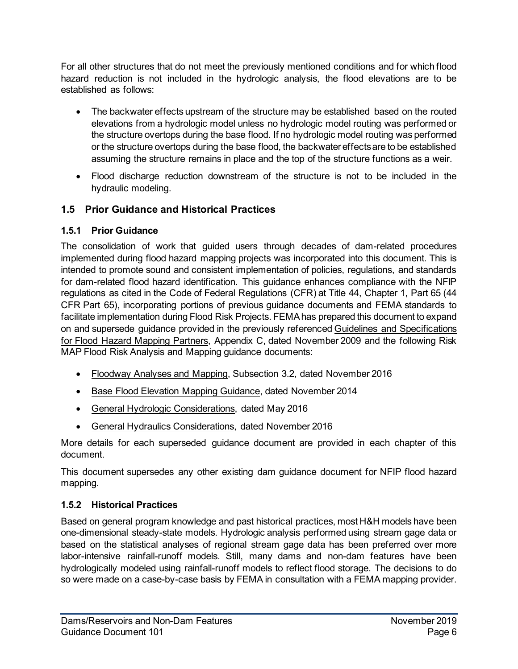For all other structures that do not meet the previously mentioned conditions and for which flood hazard reduction is not included in the hydrologic analysis, the flood elevations are to be established as follows:

- The backwater effects upstream of the structure may be established based on the routed elevations from a hydrologic model unless no hydrologic model routing was performed or the structure overtops during the base flood. If no hydrologic model routing was performed or the structure overtops during the base flood, the backwater effects are to be established assuming the structure remains in place and the top of the structure functions as a weir.
- Flood discharge reduction downstream of the structure is not to be included in the hydraulic modeling.

### **1.5 Prior Guidance and Historical Practices**

#### **1.5.1 Prior Guidance**

The consolidation of work that guided users through decades of dam-related procedures implemented during flood hazard mapping projects was incorporated into this document. This is intended to promote sound and consistent implementation of policies, regulations, and standards for dam-related flood hazard identification. This guidance enhances compliance with the NFIP regulations as cited in the Code of Federal Regulations (CFR) at Title 44, Chapter 1, Part 65 (44 CFR Part 65), incorporating portions of previous guidance documents and FEMA standards to facilitate implementation during Flood Risk Projects. FEMA has prepared this document to expand on and supersede guidance provided in the previously referenced Guidelines and Specifications for Flood Hazard Mapping Partners, Appendix C, dated November 2009 and the following Risk MAP Flood Risk Analysis and Mapping guidance documents:

- Floodway Analyses and Mapping, Subsection 3.2, dated November 2016
- Base Flood Elevation Mapping Guidance, dated November 2014
- General Hydrologic Considerations, dated May 2016
- General Hydraulics Considerations, dated November 2016

More details for each superseded guidance document are provided in each chapter of this document.

This document supersedes any other existing dam guidance document for NFIP flood hazard mapping.

#### **1.5.2 Historical Practices**

Based on general program knowledge and past historical practices, most H&H models have been one-dimensional steady-state models. Hydrologic analysis performed using stream gage data or based on the statistical analyses of regional stream gage data has been preferred over more labor-intensive rainfall-runoff models. Still, many dams and non-dam features have been hydrologically modeled using rainfall-runoff models to reflect flood storage. The decisions to do so were made on a case-by-case basis by FEMA in consultation with a FEMA mapping provider.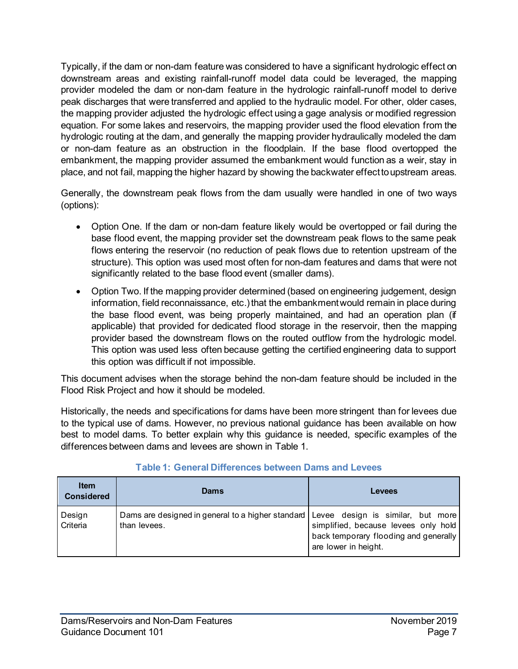Typically, if the dam or non-dam feature was considered to have a significant hydrologic effect on downstream areas and existing rainfall-runoff model data could be leveraged, the mapping provider modeled the dam or non-dam feature in the hydrologic rainfall-runoff model to derive peak discharges that were transferred and applied to the hydraulic model. For other, older cases, the mapping provider adjusted the hydrologic effect using a gage analysis or modified regression equation. For some lakes and reservoirs, the mapping provider used the flood elevation from the hydrologic routing at the dam, and generally the mapping provider hydraulically modeled the dam or non-dam feature as an obstruction in the floodplain. If the base flood overtopped the embankment, the mapping provider assumed the embankment would function as a weir, stay in place, and not fail, mapping the higher hazard by showing the backwater effect to upstream areas.

Generally, the downstream peak flows from the dam usually were handled in one of two ways (options):

- Option One. If the dam or non-dam feature likely would be overtopped or fail during the base flood event, the mapping provider set the downstream peak flows to the same peak flows entering the reservoir (no reduction of peak flows due to retention upstream of the structure). This option was used most often for non-dam features and dams that were not significantly related to the base flood event (smaller dams).
- Option Two. If the mapping provider determined (based on engineering judgement, design information, field reconnaissance, etc.) that the embankment would remain in place during the base flood event, was being properly maintained, and had an operation plan (if applicable) that provided for dedicated flood storage in the reservoir, then the mapping provider based the downstream flows on the routed outflow from the hydrologic model. This option was used less often because getting the certified engineering data to support this option was difficult if not impossible.

This document advises when the storage behind the non-dam feature should be included in the Flood Risk Project and how it should be modeled.

Historically, the needs and specifications for dams have been more stringent than for levees due to the typical use of dams. However, no previous national guidance has been available on how best to model dams. To better explain why this guidance is needed, specific examples of the differences between dams and levees are shown in Table 1.

<span id="page-13-0"></span>

| <b>Item</b><br><b>Considered</b> | Dams                                                                                                | Levees                                                                                                |
|----------------------------------|-----------------------------------------------------------------------------------------------------|-------------------------------------------------------------------------------------------------------|
| Design<br>Criteria               | Dams are designed in general to a higher standard Levee design is similar, but more<br>than levees. | simplified, because levees only hold<br>back temporary flooding and generally<br>are lower in height. |

#### **Table 1: General Differences between Dams and Levees**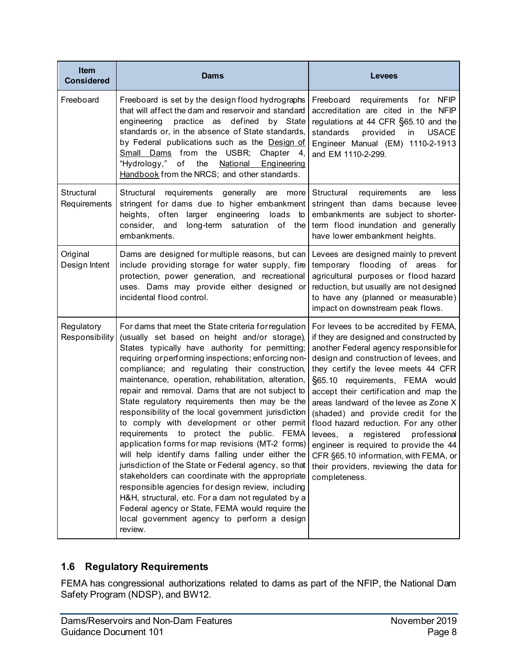| Item<br><b>Considered</b>    | <b>Dams</b>                                                                                                                                                                                                                                                                                                                                                                                                                                                                                                                                                                                                                                                                                                                                                                                                                                                                                                                                                                                                                          | <b>Levees</b>                                                                                                                                                                                                                                                                                                                                                                                                                                                                                                                                                                                                 |
|------------------------------|--------------------------------------------------------------------------------------------------------------------------------------------------------------------------------------------------------------------------------------------------------------------------------------------------------------------------------------------------------------------------------------------------------------------------------------------------------------------------------------------------------------------------------------------------------------------------------------------------------------------------------------------------------------------------------------------------------------------------------------------------------------------------------------------------------------------------------------------------------------------------------------------------------------------------------------------------------------------------------------------------------------------------------------|---------------------------------------------------------------------------------------------------------------------------------------------------------------------------------------------------------------------------------------------------------------------------------------------------------------------------------------------------------------------------------------------------------------------------------------------------------------------------------------------------------------------------------------------------------------------------------------------------------------|
| Freeboard                    | Freeboard is set by the design flood hydrographs<br>that will affect the dam and reservoir and standard<br>practice as defined<br>by State<br>engineering<br>standards or, in the absence of State standards,<br>by Federal publications such as the Design of<br>Small Dams from the USBR;<br>Chapter<br>4.<br>"Hydrology,"<br>of<br>the<br>Engineering<br><b>National</b><br>Handbook from the NRCS; and other standards.                                                                                                                                                                                                                                                                                                                                                                                                                                                                                                                                                                                                          | requirements<br>for NFIP<br>Freeboard<br>accreditation are cited in the NFIP<br>regulations at 44 CFR §65.10 and the<br>standards<br>provided<br>in<br><b>USACE</b><br>Engineer Manual (EM) 1110-2-1913<br>and EM 1110-2-299.                                                                                                                                                                                                                                                                                                                                                                                 |
| Structural<br>Requirements   | Structural requirements<br>generally<br>are<br>more<br>stringent for dams due to higher embankment<br>heights,<br>often<br>larger<br>engineering<br>loads<br>to<br>consider,<br>and<br>long-term<br>saturation of the<br>embankments.                                                                                                                                                                                                                                                                                                                                                                                                                                                                                                                                                                                                                                                                                                                                                                                                | Structural<br>requirements<br>less<br>are<br>stringent than dams because levee<br>embankments are subject to shorter-<br>term flood inundation and generally<br>have lower embankment heights.                                                                                                                                                                                                                                                                                                                                                                                                                |
| Original<br>Design Intent    | Dams are designed for multiple reasons, but can<br>include providing storage for water supply, fire<br>protection, power generation, and recreational<br>uses. Dams may provide either designed or<br>incidental flood control.                                                                                                                                                                                                                                                                                                                                                                                                                                                                                                                                                                                                                                                                                                                                                                                                      | Levees are designed mainly to prevent<br>flooding<br>of areas<br>for<br>temporary<br>agricultural purposes or flood hazard<br>reduction, but usually are not designed<br>to have any (planned or measurable)<br>impact on downstream peak flows.                                                                                                                                                                                                                                                                                                                                                              |
| Regulatory<br>Responsibility | For dams that meet the State criteria for regulation<br>(usually set based on height and/or storage),<br>States typically have authority for permitting;<br>requiring or performing inspections; enforcing non-<br>compliance; and regulating their construction,<br>maintenance, operation, rehabilitation, alteration,<br>repair and removal. Dams that are not subject to<br>State regulatory requirements then may be the<br>responsibility of the local government jurisdiction<br>to comply with development or other permit<br>requirements to protect the public.<br><b>FEMA</b><br>application forms for map revisions (MT-2 forms)<br>will help identify dams falling under either the<br>jurisdiction of the State or Federal agency, so that<br>stakeholders can coordinate with the appropriate<br>responsible agencies for design review, including<br>H&H, structural, etc. For a dam not regulated by a<br>Federal agency or State, FEMA would require the<br>local government agency to perform a design<br>review. | For levees to be accredited by FEMA,<br>if they are designed and constructed by<br>another Federal agency responsible for<br>design and construction of levees, and<br>they certify the levee meets 44 CFR<br>§65.10 requirements, FEMA would<br>accept their certification and map the<br>areas landward of the levee as Zone X<br>(shaded) and provide credit for the<br>flood hazard reduction. For any other<br>registered<br>professional<br>levees,<br>a<br>engineer is required to provide the 44<br>CFR §65.10 information, with FEMA, or<br>their providers, reviewing the data for<br>completeness. |

### **1.6 Regulatory Requirements**

FEMA has congressional authorizations related to dams as part of the NFIP, the National Dam Safety Program (NDSP), and BW12.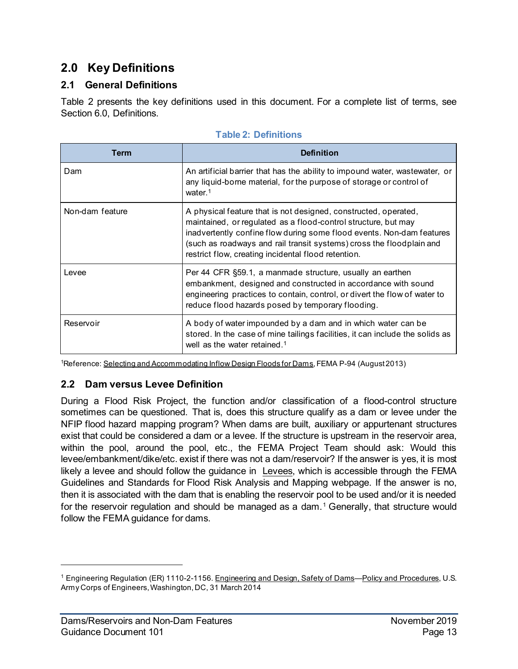# **2.0 Key Definitions**

### **2.1 General Definitions**

[Table](#page-19-0) 2 presents the key definitions used in this document. For a complete list of terms, see Section 6.0, Definitions.

<span id="page-19-0"></span>

| Term            | <b>Definition</b>                                                                                                                                                                                                                                                                                                                         |
|-----------------|-------------------------------------------------------------------------------------------------------------------------------------------------------------------------------------------------------------------------------------------------------------------------------------------------------------------------------------------|
| Dam             | An artificial barrier that has the ability to impound water, wastewater, or<br>any liquid-borne material, for the purpose of storage or control of<br>water. <sup>1</sup>                                                                                                                                                                 |
| Non-dam feature | A physical feature that is not designed, constructed, operated,<br>maintained, or regulated as a flood-control structure, but may<br>inadvertently confine flow during some flood events. Non-dam features<br>(such as roadways and rail transit systems) cross the floodplain and<br>restrict flow, creating incidental flood retention. |
| Levee           | Per 44 CFR §59.1, a manmade structure, usually an earthen<br>embankment, designed and constructed in accordance with sound<br>engineering practices to contain, control, or divert the flow of water to<br>reduce flood hazards posed by temporary flooding.                                                                              |
| Reservoir       | A body of water impounded by a dam and in which water can be<br>stored. In the case of mine tailings facilities, it can include the solids as<br>well as the water retained. <sup>1</sup>                                                                                                                                                 |

#### **Table 2: Definitions**

1Reference: Selecting and Accommodating Inflow Design Floods for Dams, FEMA P-94 (August 2013)

#### **2.2 Dam versus Levee Definition**

During a Flood Risk Project, the function and/or classification of a flood-control structure sometimes can be questioned. That is, does this structure qualify as a dam or levee under the NFIP flood hazard mapping program? When dams are built, auxiliary or appurtenant structures exist that could be considered a dam or a levee. If the structure is upstream in the reservoir area, within the pool, around the pool, etc., the FEMA Project Team should ask: Would this levee/embankment/dike/etc. exist if there was not a dam/reservoir? If the answer is yes, it is most likely a levee and should follow the guidance in Levees, which is accessible through the FEMA Guidelines and Standards for Flood Risk Analysis and Mapping webpage. If the answer is no, then it is associated with the dam that is enabling the reservoir pool to be used and/or it is needed for the reservoir regulation and should be managed as a dam.<sup>[1](#page-19-1)</sup> Generally, that structure would follow the FEMA guidance for dams.

<span id="page-19-1"></span><sup>1</sup> Engineering Regulation (ER) 1110-2-1156. Engineering and Design, Safety of Dams—Policy and Procedures, U.S. Army Corps of Engineers, Washington, DC, 31 March 2014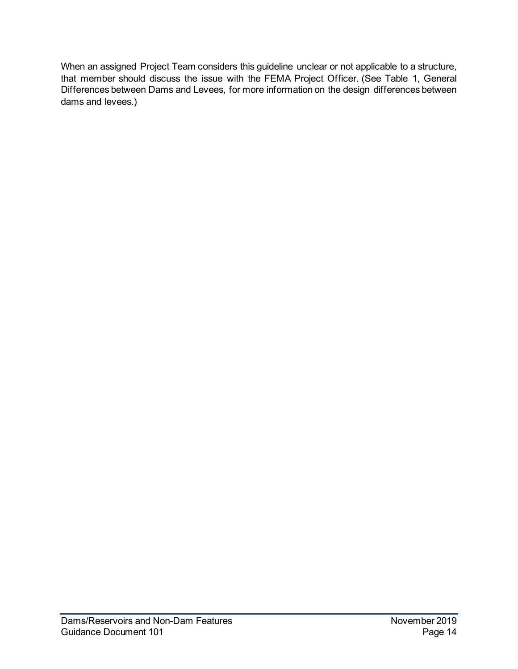When an assigned Project Team considers this guideline unclear or not applicable to a structure, that member should discuss the issue with the FEMA Project Officer. (See Table 1, General Differences between Dams and Levees, for more information on the design differences between dams and levees.)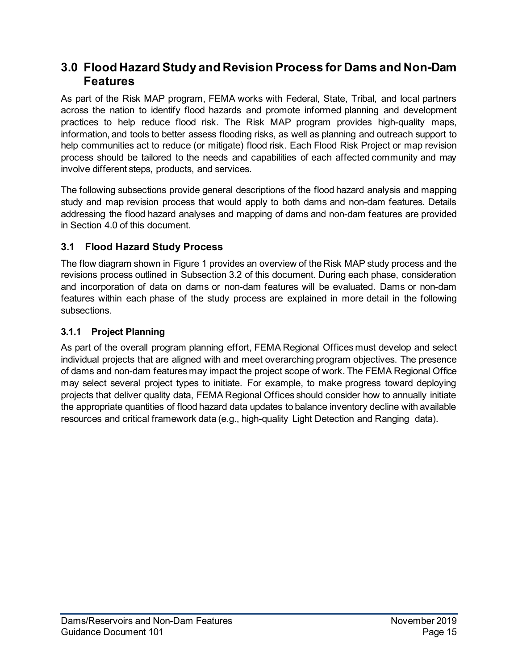## **3.0 Flood Hazard Study and Revision Process for Dams and Non-Dam Features**

As part of the Risk MAP program, FEMA works with Federal, State, Tribal, and local partners across the nation to identify flood hazards and promote informed planning and development practices to help reduce flood risk. The Risk MAP program provides high-quality maps, information, and tools to better assess flooding risks, as well as planning and outreach support to help communities act to reduce (or mitigate) flood risk. Each Flood Risk Project or map revision process should be tailored to the needs and capabilities of each affected community and may involve different steps, products, and services.

The following subsections provide general descriptions of the flood hazard analysis and mapping study and map revision process that would apply to both dams and non-dam features. Details addressing the flood hazard analyses and mapping of dams and non-dam features are provided in Section 4.0 of this document.

#### **3.1 Flood Hazard Study Process**

The flow diagram shown in [Figure 1](#page-22-0) provides an overview of the Risk MAP study process and the revisions process outlined in Subsection 3.2 of this document. During each phase, consideration and incorporation of data on dams or non-dam features will be evaluated. Dams or non-dam features within each phase of the study process are explained in more detail in the following subsections.

#### **3.1.1 Project Planning**

As part of the overall program planning effort, FEMA Regional Offices must develop and select individual projects that are aligned with and meet overarching program objectives. The presence of dams and non-dam features may impact the project scope of work. The FEMA Regional Office may select several project types to initiate. For example, to make progress toward deploying projects that deliver quality data, FEMA Regional Offices should consider how to annually initiate the appropriate quantities of flood hazard data updates to balance inventory decline with available resources and critical framework data (e.g., high-quality Light Detection and Ranging data).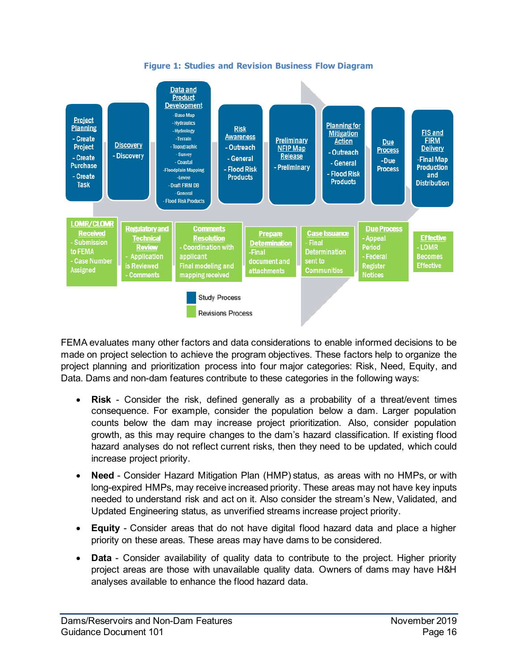<span id="page-22-0"></span>

FEMA evaluates many other factors and data considerations to enable informed decisions to be made on project selection to achieve the program objectives. These factors help to organize the project planning and prioritization process into four major categories: Risk, Need, Equity, and Data. Dams and non-dam features contribute to these categories in the following ways:

- **Risk** Consider the risk, defined generally as a probability of a threat/event times consequence. For example, consider the population below a dam. Larger population counts below the dam may increase project prioritization. Also, consider population growth, as this may require changes to the dam's hazard classification. If existing flood hazard analyses do not reflect current risks, then they need to be updated, which could increase project priority.
- **Need** Consider Hazard Mitigation Plan (HMP) status, as areas with no HMPs, or with long-expired HMPs, may receive increased priority. These areas may not have key inputs needed to understand risk and act on it. Also consider the stream's New, Validated, and Updated Engineering status, as unverified streams increase project priority.
- **Equity** Consider areas that do not have digital flood hazard data and place a higher priority on these areas. These areas may have dams to be considered.
- **Data** Consider availability of quality data to contribute to the project. Higher priority project areas are those with unavailable quality data. Owners of dams may have H&H analyses available to enhance the flood hazard data.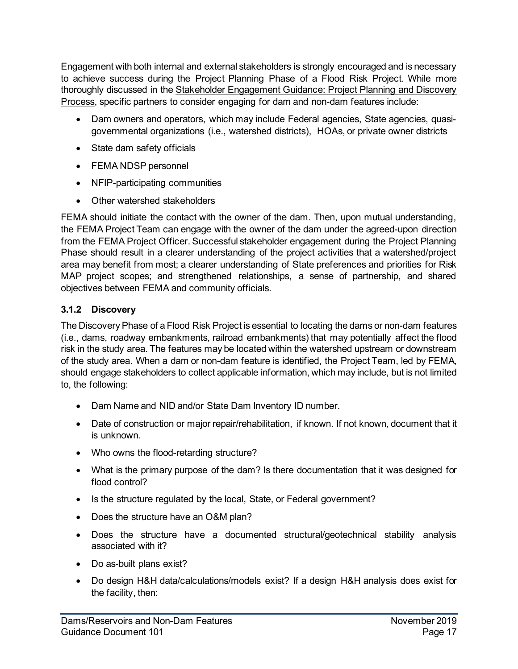Engagement with both internal and external stakeholders is strongly encouraged and is necessary to achieve success during the Project Planning Phase of a Flood Risk Project. While more thoroughly discussed in the Stakeholder Engagement Guidance: Project Planning and Discovery Process, specific partners to consider engaging for dam and non-dam features include:

- Dam owners and operators, which may include Federal agencies, State agencies, quasigovernmental organizations (i.e., watershed districts), HOAs, or private owner districts
- State dam safety officials
- FEMA NDSP personnel
- NFIP-participating communities
- Other watershed stakeholders

FEMA should initiate the contact with the owner of the dam. Then, upon mutual understanding, the FEMA Project Team can engage with the owner of the dam under the agreed-upon direction from the FEMA Project Officer. Successful stakeholder engagement during the Project Planning Phase should result in a clearer understanding of the project activities that a watershed/project area may benefit from most; a clearer understanding of State preferences and priorities for Risk MAP project scopes; and strengthened relationships, a sense of partnership, and shared objectives between FEMA and community officials.

#### **3.1.2 Discovery**

The Discovery Phase of a Flood Risk Project is essential to locating the dams or non-dam features (i.e., dams, roadway embankments, railroad embankments) that may potentially affect the flood risk in the study area. The features may be located within the watershed upstream or downstream of the study area. When a dam or non-dam feature is identified, the Project Team, led by FEMA, should engage stakeholders to collect applicable information, which may include, but is not limited to, the following:

- Dam Name and NID and/or State Dam Inventory ID number.
- Date of construction or major repair/rehabilitation, if known. If not known, document that it is unknown.
- Who owns the flood-retarding structure?
- What is the primary purpose of the dam? Is there documentation that it was designed for flood control?
- Is the structure regulated by the local, State, or Federal government?
- Does the structure have an O&M plan?
- Does the structure have a documented structural/geotechnical stability analysis associated with it?
- Do as-built plans exist?
- Do design H&H data/calculations/models exist? If a design H&H analysis does exist for the facility, then: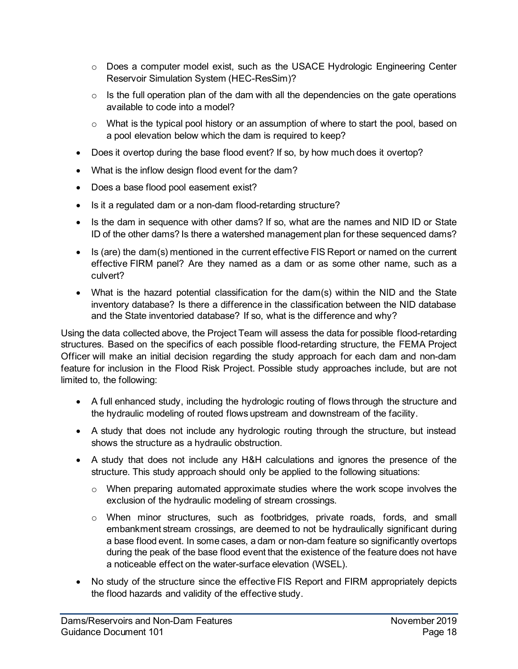- $\circ$  Does a computer model exist, such as the USACE Hydrologic Engineering Center Reservoir Simulation System (HEC-ResSim)?
- $\circ$  Is the full operation plan of the dam with all the dependencies on the gate operations available to code into a model?
- $\circ$  What is the typical pool history or an assumption of where to start the pool, based on a pool elevation below which the dam is required to keep?
- Does it overtop during the base flood event? If so, by how much does it overtop?
- What is the inflow design flood event for the dam?
- Does a base flood pool easement exist?
- Is it a regulated dam or a non-dam flood-retarding structure?
- Is the dam in sequence with other dams? If so, what are the names and NID ID or State ID of the other dams? Is there a watershed management plan for these sequenced dams?
- Is (are) the dam(s) mentioned in the current effective FIS Report or named on the current effective FIRM panel? Are they named as a dam or as some other name, such as a culvert?
- What is the hazard potential classification for the dam(s) within the NID and the State inventory database? Is there a difference in the classification between the NID database and the State inventoried database? If so, what is the difference and why?

Using the data collected above, the Project Team will assess the data for possible flood-retarding structures. Based on the specifics of each possible flood-retarding structure, the FEMA Project Officer will make an initial decision regarding the study approach for each dam and non-dam feature for inclusion in the Flood Risk Project. Possible study approaches include, but are not limited to, the following:

- A full enhanced study, including the hydrologic routing of flows through the structure and the hydraulic modeling of routed flows upstream and downstream of the facility.
- A study that does not include any hydrologic routing through the structure, but instead shows the structure as a hydraulic obstruction.
- A study that does not include any H&H calculations and ignores the presence of the structure. This study approach should only be applied to the following situations:
	- $\circ$  When preparing automated approximate studies where the work scope involves the exclusion of the hydraulic modeling of stream crossings.
	- o When minor structures, such as footbridges, private roads, fords, and small embankment stream crossings, are deemed to not be hydraulically significant during a base flood event. In some cases, a dam or non-dam feature so significantly overtops during the peak of the base flood event that the existence of the feature does not have a noticeable effect on the water-surface elevation (WSEL).
- No study of the structure since the effective FIS Report and FIRM appropriately depicts the flood hazards and validity of the effective study.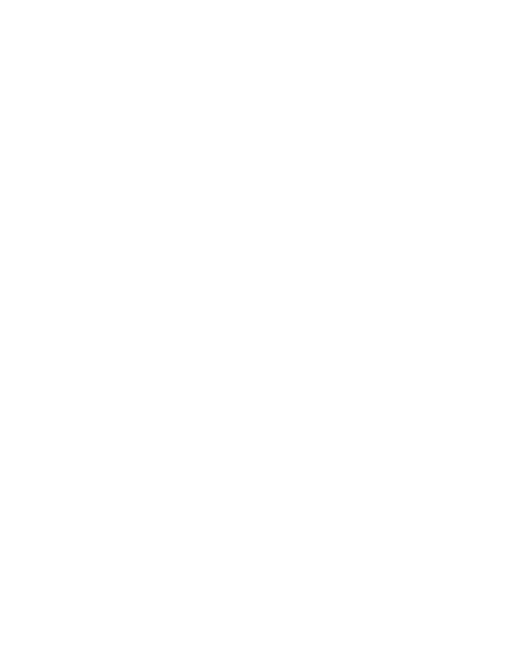# 2.0 Key Definitions

### 2.1 General Definitions

Table 2 presents the key definitions used in this document. For a complete list of terms, see Section 6.0, Definitions.

| Term            | <b>Definition</b>                                                                                                                                                                                                                                                                                                                         |
|-----------------|-------------------------------------------------------------------------------------------------------------------------------------------------------------------------------------------------------------------------------------------------------------------------------------------------------------------------------------------|
| Dam             | An artificial barrier that has the ability to impound water, wastewater, or<br>any liquid-borne material, for the purpose of storage or control of<br>water. <sup>1</sup>                                                                                                                                                                 |
| Non-dam feature | A physical feature that is not designed, constructed, operated,<br>maintained, or regulated as a flood-control structure, but may<br>inadvertently confine flow during some flood events. Non-dam features<br>(such as roadways and rail transit systems) cross the floodplain and<br>restrict flow, creating incidental flood retention. |
| Levee           | Per 44 CFR §59.1, a manmade structure, usually an earthen<br>embankment, designed and constructed in accordance with sound<br>engineering practices to contain, control, or divert the flow of water to<br>reduce flood hazards posed by temporary flooding.                                                                              |
| Reservoir       | A body of water impounded by a dam and in which water can be<br>stored. In the case of mine tailings facilities, it can include the solids as<br>well as the water retained. <sup>1</sup>                                                                                                                                                 |

#### **Table 2: Definitions**

<sup>1</sup>Reference: Selecting and Accommodating Inflow Design Floods for Dams, FEMA P-94 (August 2013)

#### 2.2 Dam versus Levee Definition

During a Flood Risk Project, the function and/or classification of a flood-control structure sometimes can be questioned. That is, does this structure qualify as a dam or levee under the NFIP flood hazard mapping program? When dams are built, auxiliary or appurtenant structures exist that could be considered a dam or a levee. If the structure is upstream in the reservoir area, within the pool, around the pool, etc., the FEMA Project Team should ask: Would this levee/embankment/dike/etc. exist if there was not a dam/reservoir? If the answer is yes, it is most likely a levee and should follow the guidance in Levees, which is accessible through the FEMA Guidelines and Standards for Flood Risk Analysis and Mapping webpage. If the answer is no, then it is associated with the dam that is enabling the reservoir pool to be used and/or it is needed for the reservoir regulation and should be managed as a dam.<sup>1</sup> Generally, that structure would follow the FEMA guidance for dams.

<sup>&</sup>lt;sup>1</sup> Engineering Regulation (ER) 1110-2-1156. Engineering and Design, Safety of Dams—Policy and Procedures, U.S. Army Corps of Engineers, Washington, DC, 31 March 2014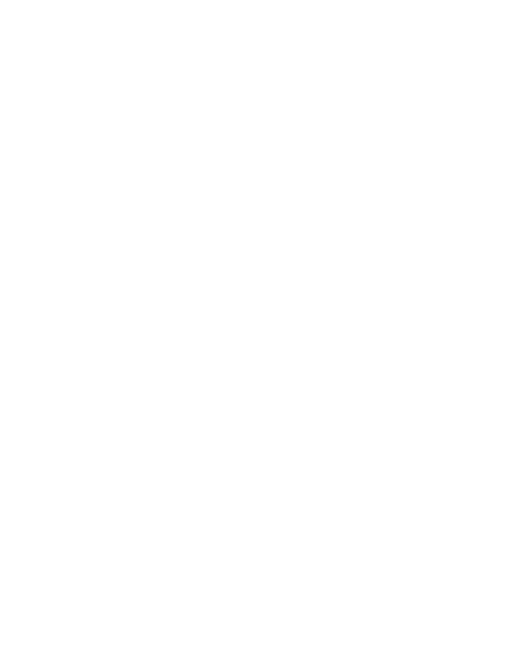#### 1.3 Limitations and Constraints

The guidance document contains the following limitations and constraints:

- x This document focuses on evaluating the impact of dams and non-dam features on the base (1-percent-annual-chance) flood for flood hazard mapping. Risk assessment concerning the possibility of a dam break is not considered.
- x This document generally applies to steady-state hydraulic modeling related to developing Base Flood Elevations (BFEs) for Flood Risk Projects. FEMA is developing guidance for incorporating the flood-retarding effects of dams and non-dam features for use in unsteady-state and two-dimensional models; that guidance will be incorporated into this document when available.
- x CTPs, Project Teams (FEMA, local and State providers that partner with FEMA to develop hydrologic and hydraulic [H&H] modeling and mapping, Risk MAP providers) can access Inventory of Dams (NID) database National throuah USACE the at https://nid.sec.usace.army.mil/ords/f?p=105:1 when conducting the Discovery Phase of a Flood Risk Project and performing the H&H analyses.
- x FEMA should be consulted for guidance to address unique or unusual modeling of floodretarding structures not clearly addressed in this document.
- x This document is not intended to address the mandate of the Technical Mapping Advisory Council (TMAC), a Federal advisory committee established to review and make recommendations to FEMA, on matters related to the national flood mapping program authorized under the Biggert-Waters Flood Insurance Reform Act of 2012 (BW12) specifically related to levees and dams. TMAC recommendations will address the FEMA regulatory requirements for dams to comply with the following provisions of BW12:

"Section 100216 (A) (iii), (iv), and (v) authorized FEMA to identify, review, update, maintain, and publish National Flood Insurance Program Rate Maps with respect to areas of residual risk, including areas that are protected by levees, dams, and other flood control structures, including areas that could be inundated because of the failure of a levee, dam, or other flood control structure and the level of protection provided by flood control structures."

FEMA may amend this document in the future to include guidance on quantifying risk and the **TMAC** recommendations.

Subsection 1.4 provides guidance on when to evaluate the flood hazard reduction effects of dams and non-dam features and how to model and map the resultant flood elevations and floodplains.

### 1.4 Dams and Non-Dam Features (Flood-Retarding Structures to be Included)

The FEMA Project Officer, in consultation with Project Team partners and State agencies involved in the flood risk study process, will decide when and how to include the impacts of dams and nondam features in the H&H modeling of flood hazards for Flood Risk Projects.

FEMA may consider the level of flood hazard reduction afforded by a dam or non-dam feature on the BFEs downstream of the dam or non-dam feature, as well as the aerial extent of the flood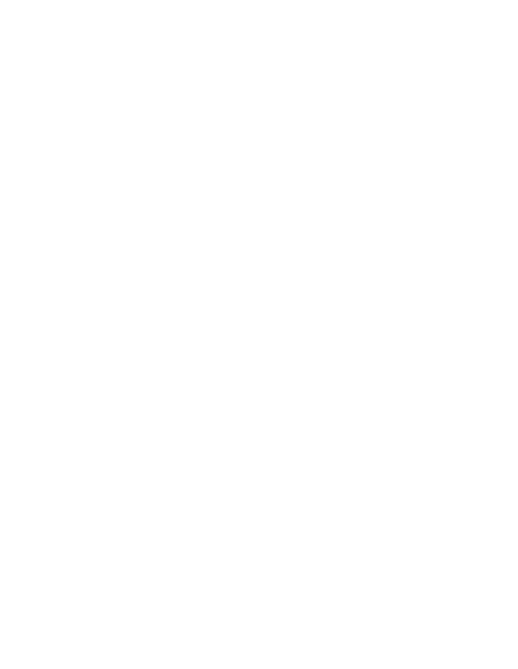# **List of Figures**

|--|--|

# **List of Tables**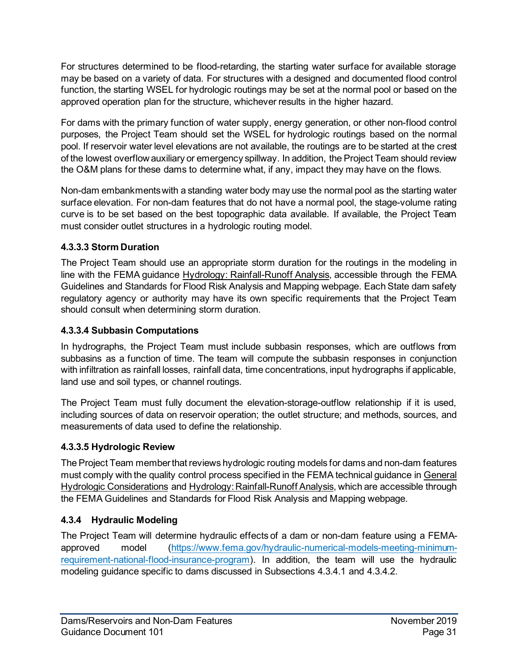For structures determined to be flood-retarding, the starting water surface for available storage may be based on a variety of data. For structures with a designed and documented flood control function, the starting WSEL for hydrologic routings may be set at the normal pool or based on the approved operation plan for the structure, whichever results in the higher hazard.

For dams with the primary function of water supply, energy generation, or other non-flood control purposes, the Project Team should set the WSEL for hydrologic routings based on the normal pool. If reservoir water level elevations are not available, the routings are to be started at the crest of the lowest overflow auxiliary or emergency spillway. In addition, the Project Team should review the O&M plans for these dams to determine what, if any, impact they may have on the flows.

Non-dam embankmentswith a standing water body may use the normal pool as the starting water surface elevation. For non-dam features that do not have a normal pool, the stage-volume rating curve is to be set based on the best topographic data available. If available, the Project Team must consider outlet structures in a hydrologic routing model.

#### **4.3.3.3 Storm Duration**

The Project Team should use an appropriate storm duration for the routings in the modeling in line with the FEMA guidance Hydrology: Rainfall-Runoff Analysis, accessible through the FEMA Guidelines and Standards for Flood Risk Analysis and Mapping webpage. Each State dam safety regulatory agency or authority may have its own specific requirements that the Project Team should consult when determining storm duration.

#### **4.3.3.4 Subbasin Computations**

In hydrographs, the Project Team must include subbasin responses, which are outflows from subbasins as a function of time. The team will compute the subbasin responses in conjunction with infiltration as rainfall losses, rainfall data, time concentrations, input hydrographs if applicable, land use and soil types, or channel routings.

The Project Team must fully document the elevation-storage-outflow relationship if it is used, including sources of data on reservoir operation; the outlet structure; and methods, sources, and measurements of data used to define the relationship.

#### **4.3.3.5 Hydrologic Review**

The Project Team member that reviews hydrologic routing models for dams and non-dam features must comply with the quality control process specified in the FEMA technical guidance in General Hydrologic Considerations and Hydrology: Rainfall-Runoff Analysis, which are accessible through the FEMA Guidelines and Standards for Flood Risk Analysis and Mapping webpage.

#### **4.3.4 Hydraulic Modeling**

The Project Team will determine hydraulic effects of a dam or non-dam feature using a FEMAapproved model [\(https://www.fema.gov/hydraulic-numerical-models-meeting-minimum](https://www.fema.gov/hydraulic-numerical-models-meeting-minimum-requirement-national-flood-insurance-program)[requirement-national-flood-insurance-program\)](https://www.fema.gov/hydraulic-numerical-models-meeting-minimum-requirement-national-flood-insurance-program). In addition, the team will use the hydraulic modeling guidance specific to dams discussed in Subsections 4.3.4.1 and 4.3.4.2.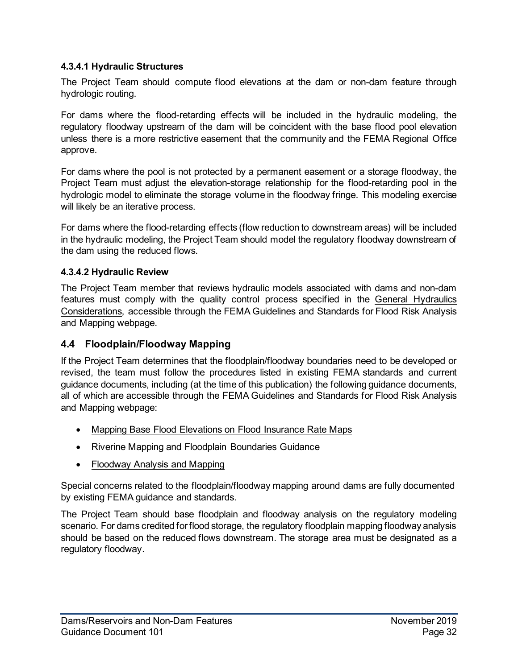#### **4.3.4.1 Hydraulic Structures**

The Project Team should compute flood elevations at the dam or non-dam feature through hydrologic routing.

For dams where the flood-retarding effects will be included in the hydraulic modeling, the regulatory floodway upstream of the dam will be coincident with the base flood pool elevation unless there is a more restrictive easement that the community and the FEMA Regional Office approve.

For dams where the pool is not protected by a permanent easement or a storage floodway, the Project Team must adjust the elevation-storage relationship for the flood-retarding pool in the hydrologic model to eliminate the storage volume in the floodway fringe. This modeling exercise will likely be an iterative process.

For dams where the flood-retarding effects (flow reduction to downstream areas) will be included in the hydraulic modeling, the Project Team should model the regulatory floodway downstream of the dam using the reduced flows.

#### **4.3.4.2 Hydraulic Review**

The Project Team member that reviews hydraulic models associated with dams and non-dam features must comply with the quality control process specified in the General Hydraulics Considerations, accessible through the FEMA Guidelines and Standards for Flood Risk Analysis and Mapping webpage.

#### **4.4 Floodplain/Floodway Mapping**

If the Project Team determines that the floodplain/floodway boundaries need to be developed or revised, the team must follow the procedures listed in existing FEMA standards and current guidance documents, including (at the time of this publication) the following guidance documents, all of which are accessible through the FEMA Guidelines and Standards for Flood Risk Analysis and Mapping webpage:

- Mapping Base Flood Elevations on Flood Insurance Rate Maps
- Riverine Mapping and Floodplain Boundaries Guidance
- Floodway Analysis and Mapping

Special concerns related to the floodplain/floodway mapping around dams are fully documented by existing FEMA guidance and standards.

The Project Team should base floodplain and floodway analysis on the regulatory modeling scenario. For dams credited for flood storage, the regulatory floodplain mapping floodway analysis should be based on the reduced flows downstream. The storage area must be designated as a regulatory floodway.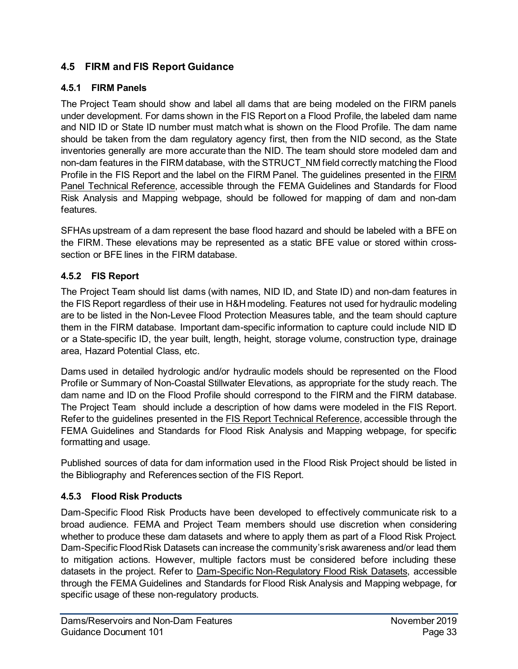#### **4.5 FIRM and FIS Report Guidance**

#### **4.5.1 FIRM Panels**

The Project Team should show and label all dams that are being modeled on the FIRM panels under development. For dams shown in the FIS Report on a Flood Profile, the labeled dam name and NID ID or State ID number must match what is shown on the Flood Profile. The dam name should be taken from the dam regulatory agency first, then from the NID second, as the State inventories generally are more accurate than the NID. The team should store modeled dam and non-dam features in the FIRM database, with the STRUCT\_NM field correctly matching the Flood Profile in the FIS Report and the label on the FIRM Panel. The guidelines presented in the FIRM Panel Technical Reference, accessible through the FEMA Guidelines and Standards for Flood Risk Analysis and Mapping webpage, should be followed for mapping of dam and non-dam features.

SFHAs upstream of a dam represent the base flood hazard and should be labeled with a BFE on the FIRM. These elevations may be represented as a static BFE value or stored within crosssection or BFE lines in the FIRM database.

#### **4.5.2 FIS Report**

The Project Team should list dams (with names, NID ID, and State ID) and non-dam features in the FIS Report regardless of their use in H&H modeling. Features not used for hydraulic modeling are to be listed in the Non-Levee Flood Protection Measures table, and the team should capture them in the FIRM database. Important dam-specific information to capture could include NID ID or a State-specific ID, the year built, length, height, storage volume, construction type, drainage area, Hazard Potential Class, etc.

Dams used in detailed hydrologic and/or hydraulic models should be represented on the Flood Profile or Summary of Non-Coastal Stillwater Elevations, as appropriate for the study reach. The dam name and ID on the Flood Profile should correspond to the FIRM and the FIRM database. The Project Team should include a description of how dams were modeled in the FIS Report. Refer to the guidelines presented in the FIS Report Technical Reference, accessible through the FEMA Guidelines and Standards for Flood Risk Analysis and Mapping webpage, for specific formatting and usage.

Published sources of data for dam information used in the Flood Risk Project should be listed in the Bibliography and References section of the FIS Report.

#### **4.5.3 Flood Risk Products**

Dam-Specific Flood Risk Products have been developed to effectively communicate risk to a broad audience. FEMA and Project Team members should use discretion when considering whether to produce these dam datasets and where to apply them as part of a Flood Risk Project. Dam-Specific Flood Risk Datasets can increase the community's risk awareness and/or lead them to mitigation actions. However, multiple factors must be considered before including these datasets in the project. Refer to Dam-Specific Non-Regulatory Flood Risk Datasets, accessible through the FEMA Guidelines and Standards for Flood Risk Analysis and Mapping webpage, for specific usage of these non-regulatory products.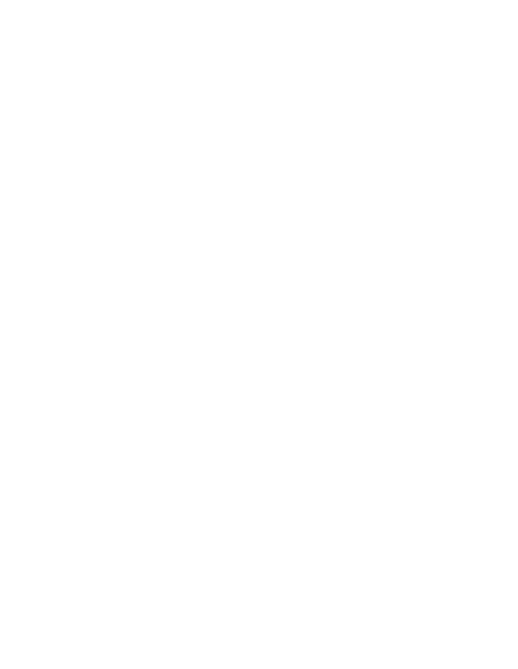#### 3 Flood aard Study and Revision rocess for Dams and on Dam **Features**

As part of the Risk MAP program, FEMA works with Federal, State, Tribal, and local partners across the nation to identify flood hazards and promote informed planning and development practices to help reduce flood risk. The Risk MAP program provides high-quality maps, information, and tools to better assess flooding risks, as well as planning and outreach support to help communities act to reduce (or mitigate) flood risk. Each Flood Risk Project or map revision process should be tailored to the needs and capabilities of each affected community and may involve different steps, products, and services.

The following subsections provide general descriptions of the flood hazard analysis and mapping study and map revision process that would apply to both dams and non-dam features. Details addressing the flood hazard analyses and mapping of dams and non-dam features are provided in Section 4.0 of this document.

#### $31$ **Flood aard Study rocess**

The flow diagram shown in Figure 1 provides an overview of the Risk MAP study process and the revisions process outlined in Subsection 3.2 of this document. During each phase, consideration and incorporation of data on dams or non-dam features will be evaluated. Dams or non-dam features within each phase of the study process are explained in more detail in the following subsections.

#### 311 roect lanning

As part of the overall program planning effort, FEMA Regional Offices must develop and select individual projects that are aligned with and meet overarching program objectives. The presence of dams and non-dam features may impact the project scope of work. The FEMA Regional Office may select several project types to initiate. For example, to make progress toward deploying projects that deliver quality data, FEMA Regional Offices should consider how to annually initiate the appropriate quantities of flood hazard data updates to balance inventory decline with available resources and critical framework data (e.g., high-quality Light Detection and Ranging data).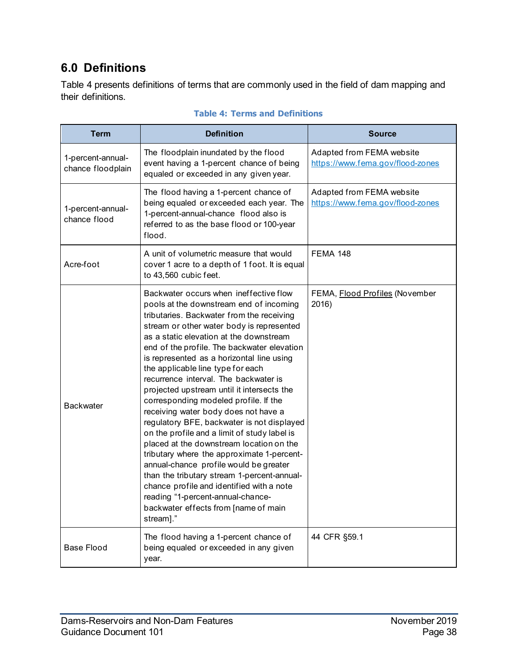# **6.0 Definitions**

[Table 4](#page-44-0) presents definitions of terms that are commonly used in the field of dam mapping and their definitions.

<span id="page-44-0"></span>

| <b>Term</b>                            | <b>Definition</b>                                                                                                                                                                                                                                                                                                                                                                                                                                                                                                                                                                                                                                                                                                                                                                                                                                                                                                                                       | <b>Source</b>                                                 |
|----------------------------------------|---------------------------------------------------------------------------------------------------------------------------------------------------------------------------------------------------------------------------------------------------------------------------------------------------------------------------------------------------------------------------------------------------------------------------------------------------------------------------------------------------------------------------------------------------------------------------------------------------------------------------------------------------------------------------------------------------------------------------------------------------------------------------------------------------------------------------------------------------------------------------------------------------------------------------------------------------------|---------------------------------------------------------------|
| 1-percent-annual-<br>chance floodplain | The floodplain inundated by the flood<br>event having a 1-percent chance of being<br>equaled or exceeded in any given year.                                                                                                                                                                                                                                                                                                                                                                                                                                                                                                                                                                                                                                                                                                                                                                                                                             | Adapted from FEMA website<br>https://www.fema.gov/flood-zones |
| 1-percent-annual-<br>chance flood      | The flood having a 1-percent chance of<br>being equaled or exceeded each year. The<br>1-percent-annual-chance flood also is<br>referred to as the base flood or 100-year<br>flood.                                                                                                                                                                                                                                                                                                                                                                                                                                                                                                                                                                                                                                                                                                                                                                      | Adapted from FEMA website<br>https://www.fema.gov/flood-zones |
| Acre-foot                              | A unit of volumetric measure that would<br>cover 1 acre to a depth of 1 foot. It is equal<br>to 43,560 cubic feet.                                                                                                                                                                                                                                                                                                                                                                                                                                                                                                                                                                                                                                                                                                                                                                                                                                      | <b>FEMA 148</b>                                               |
| <b>Backwater</b>                       | Backwater occurs when ineffective flow<br>pools at the downstream end of incoming<br>tributaries. Backwater from the receiving<br>stream or other water body is represented<br>as a static elevation at the downstream<br>end of the profile. The backwater elevation<br>is represented as a horizontal line using<br>the applicable line type for each<br>recurrence interval. The backwater is<br>projected upstream until it intersects the<br>corresponding modeled profile. If the<br>receiving water body does not have a<br>regulatory BFE, backwater is not displayed<br>on the profile and a limit of study label is<br>placed at the downstream location on the<br>tributary where the approximate 1-percent-<br>annual-chance profile would be greater<br>than the tributary stream 1-percent-annual-<br>chance profile and identified with a note<br>reading "1-percent-annual-chance-<br>backwater effects from [name of main<br>stream]." | FEMA, Flood Profiles (November<br>2016)                       |
| <b>Base Flood</b>                      | The flood having a 1-percent chance of<br>being equaled or exceeded in any given<br>year.                                                                                                                                                                                                                                                                                                                                                                                                                                                                                                                                                                                                                                                                                                                                                                                                                                                               | 44 CFR §59.1                                                  |

#### **Table 4: Terms and Definitions**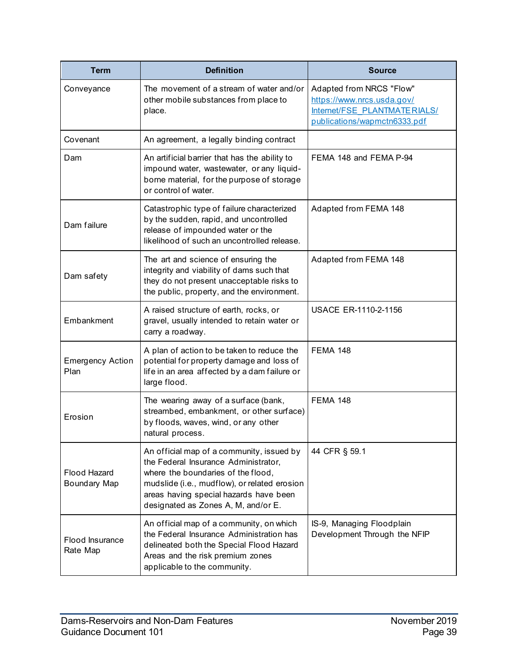| <b>Term</b>                         | <b>Definition</b>                                                                                                                                                                                                                                        | <b>Source</b>                                                                                                          |
|-------------------------------------|----------------------------------------------------------------------------------------------------------------------------------------------------------------------------------------------------------------------------------------------------------|------------------------------------------------------------------------------------------------------------------------|
| Conveyance                          | The movement of a stream of water and/or<br>other mobile substances from place to<br>place.                                                                                                                                                              | Adapted from NRCS "Flow"<br>https://www.nrcs.usda.gov/<br>Internet/FSE PLANTMATERIALS/<br>publications/wapmctn6333.pdf |
| Covenant                            | An agreement, a legally binding contract                                                                                                                                                                                                                 |                                                                                                                        |
| Dam                                 | An artificial barrier that has the ability to<br>impound water, wastewater, or any liquid-<br>borne material, for the purpose of storage<br>or control of water.                                                                                         | FEMA 148 and FEMA P-94                                                                                                 |
| Dam failure                         | Catastrophic type of failure characterized<br>by the sudden, rapid, and uncontrolled<br>release of impounded water or the<br>likelihood of such an uncontrolled release.                                                                                 | Adapted from FEMA 148                                                                                                  |
| Dam safety                          | The art and science of ensuring the<br>integrity and viability of dams such that<br>they do not present unacceptable risks to<br>the public, property, and the environment.                                                                              | Adapted from FEMA 148                                                                                                  |
| Embankment                          | A raised structure of earth, rocks, or<br>gravel, usually intended to retain water or<br>carry a roadway.                                                                                                                                                | USACE ER-1110-2-1156                                                                                                   |
| <b>Emergency Action</b><br>Plan     | A plan of action to be taken to reduce the<br>potential for property damage and loss of<br>life in an area affected by a dam failure or<br>large flood.                                                                                                  | <b>FEMA 148</b>                                                                                                        |
| Erosion                             | The wearing away of a surface (bank,<br>streambed, embankment, or other surface)<br>by floods, waves, wind, or any other<br>natural process.                                                                                                             | <b>FEMA 148</b>                                                                                                        |
| Flood Hazard<br><b>Boundary Map</b> | An official map of a community, issued by<br>the Federal Insurance Administrator,<br>where the boundaries of the flood,<br>mudslide (i.e., mudflow), or related erosion<br>areas having special hazards have been<br>designated as Zones A, M, and/or E. | 44 CFR § 59.1                                                                                                          |
| Flood Insurance<br>Rate Map         | An official map of a community, on which<br>the Federal Insurance Administration has<br>delineated both the Special Flood Hazard<br>Areas and the risk premium zones<br>applicable to the community.                                                     | IS-9, Managing Floodplain<br>Development Through the NFIP                                                              |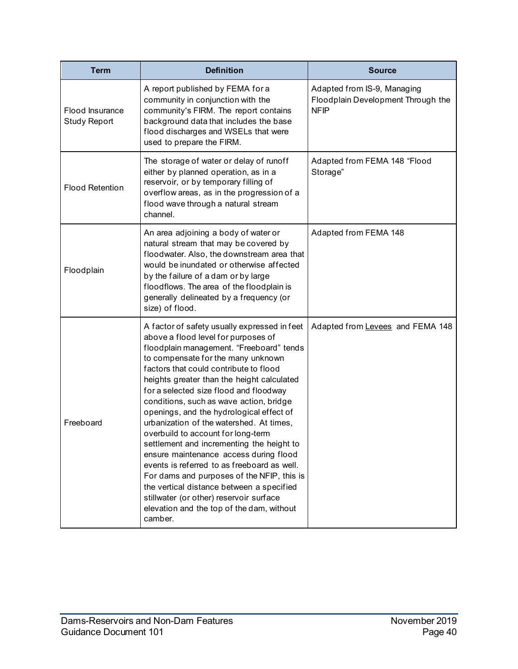| <b>Term</b>                     | <b>Definition</b>                                                                                                                                                                                                                                                                                                                                                                                                                                                                                                                                                                                                                                                                                                                                                                                                    | <b>Source</b>                                                                    |
|---------------------------------|----------------------------------------------------------------------------------------------------------------------------------------------------------------------------------------------------------------------------------------------------------------------------------------------------------------------------------------------------------------------------------------------------------------------------------------------------------------------------------------------------------------------------------------------------------------------------------------------------------------------------------------------------------------------------------------------------------------------------------------------------------------------------------------------------------------------|----------------------------------------------------------------------------------|
| Flood Insurance<br>Study Report | A report published by FEMA for a<br>community in conjunction with the<br>community's FIRM. The report contains<br>background data that includes the base<br>flood discharges and WSELs that were<br>used to prepare the FIRM.                                                                                                                                                                                                                                                                                                                                                                                                                                                                                                                                                                                        | Adapted from IS-9, Managing<br>Floodplain Development Through the<br><b>NFIP</b> |
| <b>Flood Retention</b>          | The storage of water or delay of runoff<br>either by planned operation, as in a<br>reservoir, or by temporary filling of<br>overflow areas, as in the progression of a<br>flood wave through a natural stream<br>channel.                                                                                                                                                                                                                                                                                                                                                                                                                                                                                                                                                                                            | Adapted from FEMA 148 "Flood<br>Storage"                                         |
| Floodplain                      | An area adjoining a body of water or<br>natural stream that may be covered by<br>floodwater. Also, the downstream area that<br>would be inundated or otherwise affected<br>by the failure of a dam or by large<br>floodflows. The area of the floodplain is<br>generally delineated by a frequency (or<br>size) of flood.                                                                                                                                                                                                                                                                                                                                                                                                                                                                                            | Adapted from FEMA 148                                                            |
| Freeboard                       | A factor of safety usually expressed in feet<br>above a flood level for purposes of<br>floodplain management. "Freeboard" tends<br>to compensate for the many unknown<br>factors that could contribute to flood<br>heights greater than the height calculated<br>for a selected size flood and floodway<br>conditions, such as wave action, bridge<br>openings, and the hydrological effect of<br>urbanization of the watershed. At times,<br>overbuild to account for long-term<br>settlement and incrementing the height to<br>ensure maintenance access during flood<br>events is referred to as freeboard as well.<br>For dams and purposes of the NFIP, this is<br>the vertical distance between a specified<br>stillwater (or other) reservoir surface<br>elevation and the top of the dam, without<br>camber. | Adapted from Levees and FEMA 148                                                 |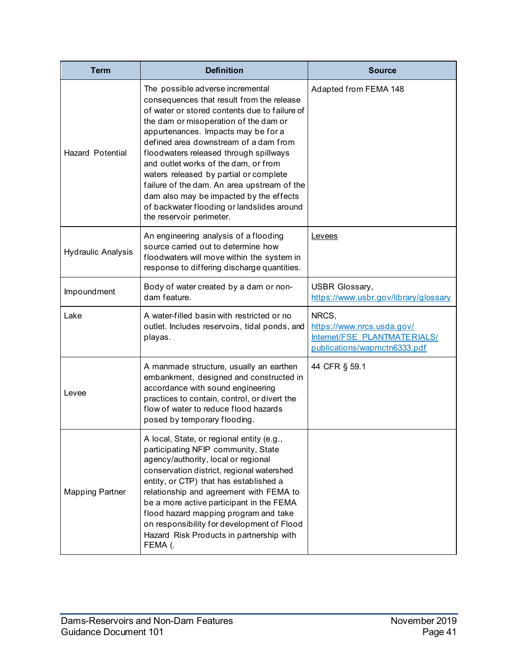| <b>Term</b>               | <b>Definition</b>                                                                                                                                                                                                                                                                                                                                                                                                                                                                                                                                       | <b>Source</b>                                                                                       |
|---------------------------|---------------------------------------------------------------------------------------------------------------------------------------------------------------------------------------------------------------------------------------------------------------------------------------------------------------------------------------------------------------------------------------------------------------------------------------------------------------------------------------------------------------------------------------------------------|-----------------------------------------------------------------------------------------------------|
| <b>Hazard Potential</b>   | The possible adverse incremental<br>consequences that result from the release<br>of water or stored contents due to failure of<br>the dam or misoperation of the dam or<br>appurtenances. Impacts may be for a<br>defined area downstream of a dam from<br>floodwaters released through spillways<br>and outlet works of the dam, or from<br>waters released by partial or complete<br>failure of the dam. An area upstream of the<br>dam also may be impacted by the effects<br>of backwater flooding or landslides around<br>the reservoir perimeter. | Adapted from FEMA 148                                                                               |
| <b>Hydraulic Analysis</b> | An engineering analysis of a flooding<br>source carried out to determine how<br>floodwaters will move within the system in<br>response to differing discharge quantities.                                                                                                                                                                                                                                                                                                                                                                               | Levees                                                                                              |
| Impoundment               | Body of water created by a dam or non-<br>dam feature.                                                                                                                                                                                                                                                                                                                                                                                                                                                                                                  | <b>USBR Glossary,</b><br>https://www.usbr.gov/library/glossary                                      |
| Lake                      | A water-filled basin with restricted or no<br>outlet. Includes reservoirs, tidal ponds, and<br>playas.                                                                                                                                                                                                                                                                                                                                                                                                                                                  | NRCS,<br>https://www.nrcs.usda.gov/<br>Internet/FSE PLANTMATERIALS/<br>publications/wapmctn6333.pdf |
| Levee                     | A manmade structure, usually an earthen<br>embankment, designed and constructed in<br>accordance with sound engineering<br>practices to contain, control, or divert the<br>flow of water to reduce flood hazards<br>posed by temporary flooding.                                                                                                                                                                                                                                                                                                        | 44 CFR § 59.1                                                                                       |
| <b>Mapping Partner</b>    | A local, State, or regional entity (e.g.,<br>participating NFIP community, State<br>agency/authority, local or regional<br>conservation district, regional watershed<br>entity, or CTP) that has established a<br>relationship and agreement with FEMA to<br>be a more active participant in the FEMA<br>flood hazard mapping program and take<br>on responsibility for development of Flood<br>Hazard Risk Products in partnership with<br>FEMA (.                                                                                                     |                                                                                                     |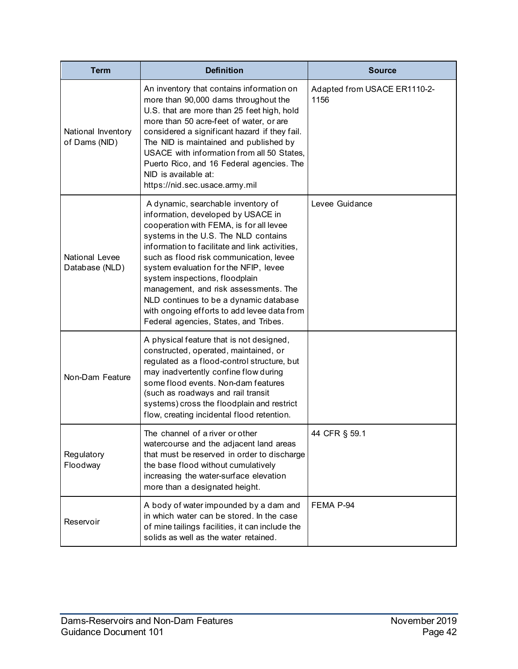| <b>Term</b>                             | <b>Definition</b>                                                                                                                                                                                                                                                                                                                                                                                                                                                                                              | <b>Source</b>                        |
|-----------------------------------------|----------------------------------------------------------------------------------------------------------------------------------------------------------------------------------------------------------------------------------------------------------------------------------------------------------------------------------------------------------------------------------------------------------------------------------------------------------------------------------------------------------------|--------------------------------------|
| National Inventory<br>of Dams (NID)     | An inventory that contains information on<br>more than 90,000 dams throughout the<br>U.S. that are more than 25 feet high, hold<br>more than 50 acre-feet of water, or are<br>considered a significant hazard if they fail.<br>The NID is maintained and published by<br>USACE with information from all 50 States,<br>Puerto Rico, and 16 Federal agencies. The<br>NID is available at:<br>https://nid.sec.usace.army.mil                                                                                     | Adapted from USACE ER1110-2-<br>1156 |
| <b>National Levee</b><br>Database (NLD) | A dynamic, searchable inventory of<br>information, developed by USACE in<br>cooperation with FEMA, is for all levee<br>systems in the U.S. The NLD contains<br>information to facilitate and link activities,<br>such as flood risk communication, levee<br>system evaluation for the NFIP, levee<br>system inspections, floodplain<br>management, and risk assessments. The<br>NLD continues to be a dynamic database<br>with ongoing efforts to add levee data from<br>Federal agencies, States, and Tribes. | Levee Guidance                       |
| Non-Dam Feature                         | A physical feature that is not designed,<br>constructed, operated, maintained, or<br>regulated as a flood-control structure, but<br>may inadvertently confine flow during<br>some flood events. Non-dam features<br>(such as roadways and rail transit<br>systems) cross the floodplain and restrict<br>flow, creating incidental flood retention.                                                                                                                                                             |                                      |
| Regulatory<br>Floodway                  | The channel of a river or other<br>watercourse and the adjacent land areas<br>that must be reserved in order to discharge<br>the base flood without cumulatively<br>increasing the water-surface elevation<br>more than a designated height.                                                                                                                                                                                                                                                                   | 44 CFR § 59.1                        |
| Reservoir                               | A body of water impounded by a dam and<br>in which water can be stored. In the case<br>of mine tailings facilities, it can include the<br>solids as well as the water retained.                                                                                                                                                                                                                                                                                                                                | FEMA P-94                            |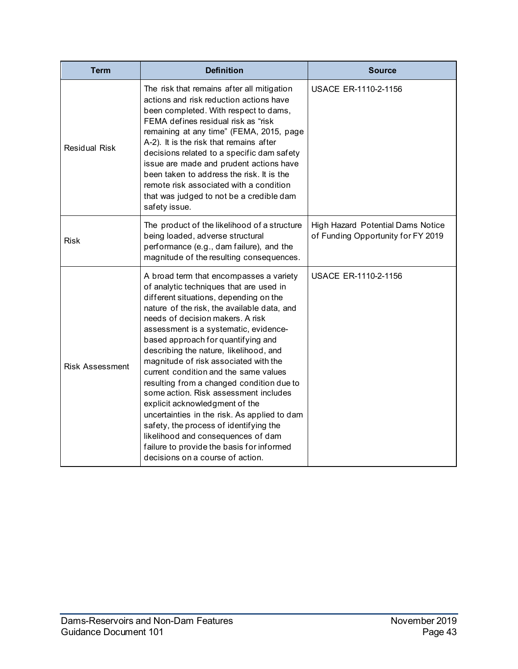| <b>Term</b>            | <b>Definition</b>                                                                                                                                                                                                                                                                                                                                                                                                                                                                                                                                                                                                                                                                                                                                                   | <b>Source</b>                                                                  |
|------------------------|---------------------------------------------------------------------------------------------------------------------------------------------------------------------------------------------------------------------------------------------------------------------------------------------------------------------------------------------------------------------------------------------------------------------------------------------------------------------------------------------------------------------------------------------------------------------------------------------------------------------------------------------------------------------------------------------------------------------------------------------------------------------|--------------------------------------------------------------------------------|
| <b>Residual Risk</b>   | The risk that remains after all mitigation<br>actions and risk reduction actions have<br>been completed. With respect to dams,<br>FEMA defines residual risk as "risk<br>remaining at any time" (FEMA, 2015, page<br>A-2). It is the risk that remains after<br>decisions related to a specific dam safety<br>issue are made and prudent actions have<br>been taken to address the risk. It is the<br>remote risk associated with a condition<br>that was judged to not be a credible dam<br>safety issue.                                                                                                                                                                                                                                                          | USACE ER-1110-2-1156                                                           |
| <b>Risk</b>            | The product of the likelihood of a structure<br>being loaded, adverse structural<br>performance (e.g., dam failure), and the<br>magnitude of the resulting consequences.                                                                                                                                                                                                                                                                                                                                                                                                                                                                                                                                                                                            | <b>High Hazard Potential Dams Notice</b><br>of Funding Opportunity for FY 2019 |
| <b>Risk Assessment</b> | A broad term that encompasses a variety<br>of analytic techniques that are used in<br>different situations, depending on the<br>nature of the risk, the available data, and<br>needs of decision makers. A risk<br>assessment is a systematic, evidence-<br>based approach for quantifying and<br>describing the nature, likelihood, and<br>magnitude of risk associated with the<br>current condition and the same values<br>resulting from a changed condition due to<br>some action. Risk assessment includes<br>explicit acknowledgment of the<br>uncertainties in the risk. As applied to dam<br>safety, the process of identifying the<br>likelihood and consequences of dam<br>failure to provide the basis for informed<br>decisions on a course of action. | USACE ER-1110-2-1156                                                           |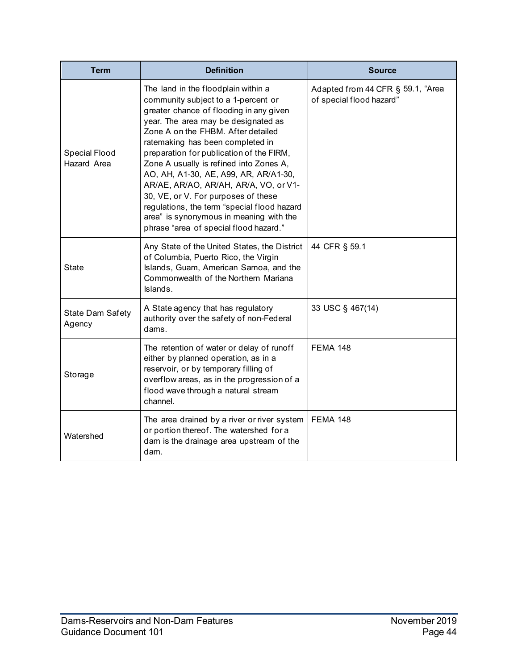| <b>Term</b>                  | <b>Definition</b>                                                                                                                                                                                                                                                                                                                                                                                                                                                                                                                                                                          | <b>Source</b>                                                 |
|------------------------------|--------------------------------------------------------------------------------------------------------------------------------------------------------------------------------------------------------------------------------------------------------------------------------------------------------------------------------------------------------------------------------------------------------------------------------------------------------------------------------------------------------------------------------------------------------------------------------------------|---------------------------------------------------------------|
| Special Flood<br>Hazard Area | The land in the floodplain within a<br>community subject to a 1-percent or<br>greater chance of flooding in any given<br>year. The area may be designated as<br>Zone A on the FHBM. After detailed<br>ratemaking has been completed in<br>preparation for publication of the FIRM,<br>Zone A usually is refined into Zones A,<br>AO, AH, A1-30, AE, A99, AR, AR/A1-30,<br>AR/AE, AR/AO, AR/AH, AR/A, VO, or V1-<br>30, VE, or V. For purposes of these<br>regulations, the term "special flood hazard<br>area" is synonymous in meaning with the<br>phrase "area of special flood hazard." | Adapted from 44 CFR § 59.1, "Area<br>of special flood hazard" |
| <b>State</b>                 | Any State of the United States, the District<br>of Columbia, Puerto Rico, the Virgin<br>Islands, Guam, American Samoa, and the<br>Commonwealth of the Northern Mariana<br>Islands.                                                                                                                                                                                                                                                                                                                                                                                                         | 44 CFR § 59.1                                                 |
| State Dam Safety<br>Agency   | A State agency that has regulatory<br>authority over the safety of non-Federal<br>dams.                                                                                                                                                                                                                                                                                                                                                                                                                                                                                                    | 33 USC § 467(14)                                              |
| Storage                      | The retention of water or delay of runoff<br>either by planned operation, as in a<br>reservoir, or by temporary filling of<br>overflow areas, as in the progression of a<br>flood wave through a natural stream<br>channel.                                                                                                                                                                                                                                                                                                                                                                | <b>FEMA 148</b>                                               |
| Watershed                    | The area drained by a river or river system<br>or portion thereof. The watershed for a<br>dam is the drainage area upstream of the<br>dam.                                                                                                                                                                                                                                                                                                                                                                                                                                                 | <b>FEMA 148</b>                                               |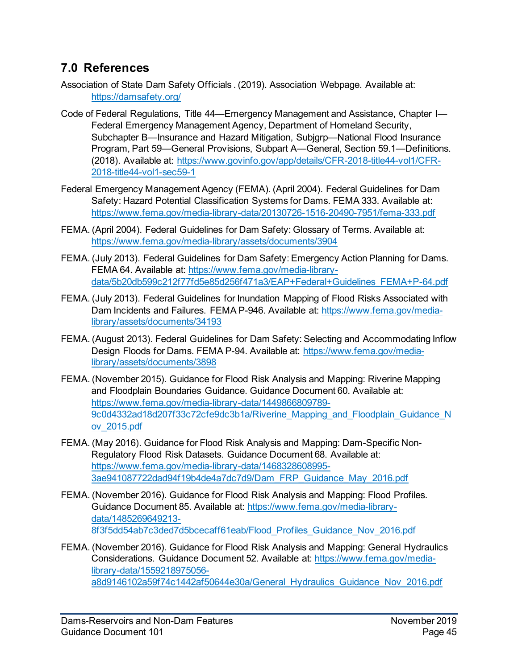## **7.0 References**

Association of State Dam Safety Officials . (2019). Association Webpage. Available at: <https://damsafety.org/>

- Code of Federal Regulations, Title 44—Emergency Management and Assistance, Chapter I— Federal Emergency Management Agency, Department of Homeland Security, Subchapter B—Insurance and Hazard Mitigation, Subjgrp—National Flood Insurance Program, Part 59—General Provisions, Subpart A—General, Section 59.1—Definitions. (2018). Available at: [https://www.govinfo.gov/app/details/CFR-2018-title44-vol1/CFR-](https://www.govinfo.gov/app/details/CFR-2018-title44-vol1/CFR-2018-title44-vol1-sec59-1)[2018-title44-vol1-sec59-1](https://www.govinfo.gov/app/details/CFR-2018-title44-vol1/CFR-2018-title44-vol1-sec59-1)
- Federal Emergency Management Agency (FEMA). (April 2004). Federal Guidelines for Dam Safety: Hazard Potential Classification Systems for Dams. FEMA 333. Available at: <https://www.fema.gov/media-library-data/20130726-1516-20490-7951/fema-333.pdf>
- FEMA. (April 2004). Federal Guidelines for Dam Safety: Glossary of Terms. Available at: <https://www.fema.gov/media-library/assets/documents/3904>
- FEMA. (July 2013). Federal Guidelines for Dam Safety: Emergency Action Planning for Dams. FEMA 64. Available at: [https://www.fema.gov/media-library](https://www.fema.gov/media-library-data/5b20db599c212f77fd5e85d256f471a3/EAP+Federal+Guidelines_FEMA+P-64.pdf)[data/5b20db599c212f77fd5e85d256f471a3/EAP+Federal+Guidelines\\_FEMA+P-64.pdf](https://www.fema.gov/media-library-data/5b20db599c212f77fd5e85d256f471a3/EAP+Federal+Guidelines_FEMA+P-64.pdf)
- FEMA. (July 2013). Federal Guidelines for Inundation Mapping of Flood Risks Associated with Dam Incidents and Failures. FEMA P-946. Available at: [https://www.fema.gov/media](https://www.fema.gov/media-library/assets/documents/34193)[library/assets/documents/34193](https://www.fema.gov/media-library/assets/documents/34193)
- FEMA. (August 2013). Federal Guidelines for Dam Safety: Selecting and Accommodating Inflow Design Floods for Dams. FEMA P-94. Available at: [https://www.fema.gov/media](https://www.fema.gov/media-library/assets/documents/3898)[library/assets/documents/3898](https://www.fema.gov/media-library/assets/documents/3898)
- FEMA. (November 2015). Guidance for Flood Risk Analysis and Mapping: Riverine Mapping and Floodplain Boundaries Guidance. Guidance Document 60. Available at: [https://www.fema.gov/media-library-data/1449866809789-](https://www.fema.gov/media-library-data/1449866809789-9c0d4332ad18d207f33c72cfe9dc3b1a/Riverine_Mapping_and_Floodplain_Guidance_Nov_2015.pdf) [9c0d4332ad18d207f33c72cfe9dc3b1a/Riverine\\_Mapping\\_and\\_Floodplain\\_Guidance\\_N](https://www.fema.gov/media-library-data/1449866809789-9c0d4332ad18d207f33c72cfe9dc3b1a/Riverine_Mapping_and_Floodplain_Guidance_Nov_2015.pdf) [ov\\_2015.pdf](https://www.fema.gov/media-library-data/1449866809789-9c0d4332ad18d207f33c72cfe9dc3b1a/Riverine_Mapping_and_Floodplain_Guidance_Nov_2015.pdf)
- FEMA. (May 2016). Guidance for Flood Risk Analysis and Mapping: Dam-Specific Non-Regulatory Flood Risk Datasets. Guidance Document 68. Available at: [https://www.fema.gov/media-library-data/1468328608995-](https://www.fema.gov/media-library-data/1468328608995-3ae941087722dad94f19b4de4a7dc7d9/Dam_FRP_Guidance_May_2016.pdf) [3ae941087722dad94f19b4de4a7dc7d9/Dam\\_FRP\\_Guidance\\_May\\_2016.pdf](https://www.fema.gov/media-library-data/1468328608995-3ae941087722dad94f19b4de4a7dc7d9/Dam_FRP_Guidance_May_2016.pdf)
- FEMA. (November 2016). Guidance for Flood Risk Analysis and Mapping: Flood Profiles. Guidance Document 85. Available at: [https://www.fema.gov/media-library](https://www.fema.gov/media-library-data/1485269649213-8f3f5dd54ab7c3ded7d5bcecaff61eab/Flood_Profiles_Guidance_Nov_2016.pdf)[data/1485269649213-](https://www.fema.gov/media-library-data/1485269649213-8f3f5dd54ab7c3ded7d5bcecaff61eab/Flood_Profiles_Guidance_Nov_2016.pdf) [8f3f5dd54ab7c3ded7d5bcecaff61eab/Flood\\_Profiles\\_Guidance\\_Nov\\_2016.pdf](https://www.fema.gov/media-library-data/1485269649213-8f3f5dd54ab7c3ded7d5bcecaff61eab/Flood_Profiles_Guidance_Nov_2016.pdf)
- FEMA. (November 2016). Guidance for Flood Risk Analysis and Mapping: General Hydraulics Considerations. Guidance Document 52. Available at: [https://www.fema.gov/media](https://www.fema.gov/media-library-data/1559218975056-a8d9146102a59f74c1442af50644e30a/General_Hydraulics_Guidance_Nov_2016.pdf)[library-data/1559218975056](https://www.fema.gov/media-library-data/1559218975056-a8d9146102a59f74c1442af50644e30a/General_Hydraulics_Guidance_Nov_2016.pdf) [a8d9146102a59f74c1442af50644e30a/General\\_Hydraulics\\_Guidance\\_Nov\\_2016.pdf](https://www.fema.gov/media-library-data/1559218975056-a8d9146102a59f74c1442af50644e30a/General_Hydraulics_Guidance_Nov_2016.pdf)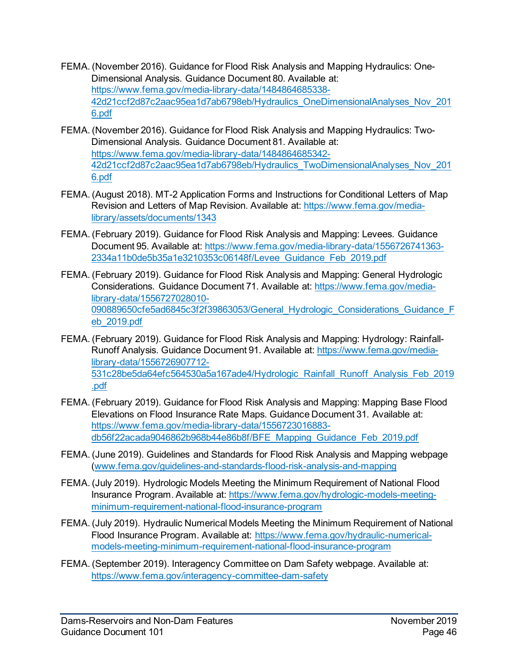- FEMA. (November 2016). Guidance for Flood Risk Analysis and Mapping Hydraulics: One-Dimensional Analysis. Guidance Document 80. Available at: [https://www.fema.gov/media-library-data/1484864685338-](https://www.fema.gov/media-library-data/1484864685338-42d21ccf2d87c2aac95ea1d7ab6798eb/Hydraulics_OneDimensionalAnalyses_Nov_2016.pdf) [42d21ccf2d87c2aac95ea1d7ab6798eb/Hydraulics\\_OneDimensionalAnalyses\\_Nov\\_201](https://www.fema.gov/media-library-data/1484864685338-42d21ccf2d87c2aac95ea1d7ab6798eb/Hydraulics_OneDimensionalAnalyses_Nov_2016.pdf) [6.pdf](https://www.fema.gov/media-library-data/1484864685338-42d21ccf2d87c2aac95ea1d7ab6798eb/Hydraulics_OneDimensionalAnalyses_Nov_2016.pdf)
- FEMA. (November 2016). Guidance for Flood Risk Analysis and Mapping Hydraulics: Two-Dimensional Analysis. Guidance Document 81. Available at: [https://www.fema.gov/media-library-data/1484864685342-](https://www.fema.gov/media-library-data/1484864685342-42d21ccf2d87c2aac95ea1d7ab6798eb/Hydraulics_TwoDimensionalAnalyses_Nov_2016.pdf) [42d21ccf2d87c2aac95ea1d7ab6798eb/Hydraulics\\_TwoDimensionalAnalyses\\_Nov\\_201](https://www.fema.gov/media-library-data/1484864685342-42d21ccf2d87c2aac95ea1d7ab6798eb/Hydraulics_TwoDimensionalAnalyses_Nov_2016.pdf) [6.pdf](https://www.fema.gov/media-library-data/1484864685342-42d21ccf2d87c2aac95ea1d7ab6798eb/Hydraulics_TwoDimensionalAnalyses_Nov_2016.pdf)
- FEMA. (August 2018). MT-2 Application Forms and Instructions for Conditional Letters of Map Revision and Letters of Map Revision. Available at: [https://www.fema.gov/media](https://www.fema.gov/media-library/assets/documents/1343)[library/assets/documents/1343](https://www.fema.gov/media-library/assets/documents/1343)
- FEMA. (February 2019). Guidance for Flood Risk Analysis and Mapping: Levees. Guidance Document 95. Available at: [https://www.fema.gov/media-library-data/1556726741363-](https://www.fema.gov/media-library-data/1556726741363-2334a11b0de5b35a1e3210353c06148f/Levee_Guidance_Feb_2019.pdf) [2334a11b0de5b35a1e3210353c06148f/Levee\\_Guidance\\_Feb\\_2019.pdf](https://www.fema.gov/media-library-data/1556726741363-2334a11b0de5b35a1e3210353c06148f/Levee_Guidance_Feb_2019.pdf)
- FEMA. (February 2019). Guidance for Flood Risk Analysis and Mapping: General Hydrologic Considerations. Guidance Document 71. Available at: [https://www.fema.gov/media](https://www.fema.gov/media-library-data/1556727028010-090889650cfe5ad6845c3f2f39863053/General_Hydrologic_Considerations_Guidance_Feb_2019.pdf)[library-data/1556727028010-](https://www.fema.gov/media-library-data/1556727028010-090889650cfe5ad6845c3f2f39863053/General_Hydrologic_Considerations_Guidance_Feb_2019.pdf) 090889650cfe5ad6845c3f2f39863053/General Hydrologic Considerations Guidance F [eb\\_2019.pdf](https://www.fema.gov/media-library-data/1556727028010-090889650cfe5ad6845c3f2f39863053/General_Hydrologic_Considerations_Guidance_Feb_2019.pdf)
- FEMA. (February 2019). Guidance for Flood Risk Analysis and Mapping: Hydrology: Rainfall-Runoff Analysis. Guidance Document 91. Available at: [https://www.fema.gov/media](https://www.fema.gov/media-library-data/1556726907712-531c28be5da64efc564530a5a167ade4/Hydrologic_Rainfall_Runoff_Analysis_Feb_2019.pdf)[library-data/1556726907712-](https://www.fema.gov/media-library-data/1556726907712-531c28be5da64efc564530a5a167ade4/Hydrologic_Rainfall_Runoff_Analysis_Feb_2019.pdf) [531c28be5da64efc564530a5a167ade4/Hydrologic\\_Rainfall\\_Runoff\\_Analysis\\_Feb\\_2019](https://www.fema.gov/media-library-data/1556726907712-531c28be5da64efc564530a5a167ade4/Hydrologic_Rainfall_Runoff_Analysis_Feb_2019.pdf) [.pdf](https://www.fema.gov/media-library-data/1556726907712-531c28be5da64efc564530a5a167ade4/Hydrologic_Rainfall_Runoff_Analysis_Feb_2019.pdf)
- FEMA. (February 2019). Guidance for Flood Risk Analysis and Mapping: Mapping Base Flood Elevations on Flood Insurance Rate Maps. Guidance Document 31. Available at: [https://www.fema.gov/media-library-data/1556723016883](https://www.fema.gov/media-library-data/1556723016883-db56f22acada9046862b968b44e86b8f/BFE_Mapping_Guidance_Feb_2019.pdf) [db56f22acada9046862b968b44e86b8f/BFE\\_Mapping\\_Guidance\\_Feb\\_2019.pdf](https://www.fema.gov/media-library-data/1556723016883-db56f22acada9046862b968b44e86b8f/BFE_Mapping_Guidance_Feb_2019.pdf)
- FEMA. (June 2019). Guidelines and Standards for Flood Risk Analysis and Mapping webpage [\(www.fema.gov/guidelines-and-standards-flood-risk-analysis-and-mapping](http://www.fema.gov/guidelines-and-standards-flood-risk-analysis-and-mapping)
- FEMA. (July 2019). Hydrologic Models Meeting the Minimum Requirement of National Flood Insurance Program. Available at: [https://www.fema.gov/hydrologic-models-meeting](https://www.fema.gov/hydrologic-models-meeting-minimum-requirement-national-flood-insurance-program)[minimum-requirement-national-flood-insurance-program](https://www.fema.gov/hydrologic-models-meeting-minimum-requirement-national-flood-insurance-program)
- FEMA. (July 2019). Hydraulic Numerical Models Meeting the Minimum Requirement of National Flood Insurance Program. Available at: [https://www.fema.gov/hydraulic-numerical](https://www.fema.gov/hydraulic-numerical-models-meeting-minimum-requirement-national-flood-insurance-program)[models-meeting-minimum-requirement-national-flood-insurance-program](https://www.fema.gov/hydraulic-numerical-models-meeting-minimum-requirement-national-flood-insurance-program)
- FEMA. (September 2019). Interagency Committee on Dam Safety webpage. Available at: <https://www.fema.gov/interagency-committee-dam-safety>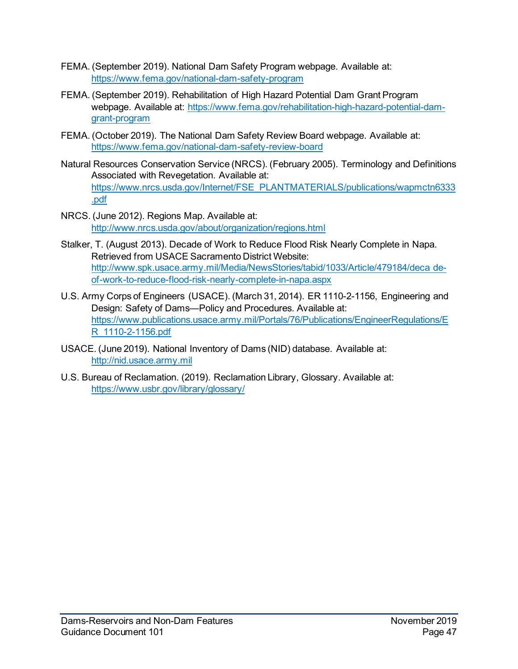- FEMA. (September 2019). National Dam Safety Program webpage. Available at: <https://www.fema.gov/national-dam-safety-program>
- FEMA. (September 2019). Rehabilitation of High Hazard Potential Dam Grant Program webpage. Available at: [https://www.fema.gov/rehabilitation-high-hazard-potential-dam](https://www.fema.gov/rehabilitation-high-hazard-potential-dam-grant-program)[grant-program](https://www.fema.gov/rehabilitation-high-hazard-potential-dam-grant-program)
- FEMA. (October 2019). The National Dam Safety Review Board webpage. Available at: <https://www.fema.gov/national-dam-safety-review-board>
- Natural Resources Conservation Service (NRCS). (February 2005). Terminology and Definitions Associated with Revegetation. Available at: [https://www.nrcs.usda.gov/Internet/FSE\\_PLANTMATERIALS/publications/wapmctn6333](https://www.nrcs.usda.gov/Internet/FSE_PLANTMATERIALS/publications/wapmctn6333.pdf) [.pdf](https://www.nrcs.usda.gov/Internet/FSE_PLANTMATERIALS/publications/wapmctn6333.pdf)
- NRCS. (June 2012). Regions Map. Available at: <http://www.nrcs.usda.gov/about/organization/regions.html>
- Stalker, T. (August 2013). Decade of Work to Reduce Flood Risk Nearly Complete in Napa. Retrieved from USACE Sacramento District Website: [http://www.spk.usace.army.mil/Media/NewsStories/tabid/1033/Article/479184/deca de](http://www.spk.usace.army.mil/Media/NewsStories/tabid/1033/Article/479184/deca%20de-of-work-to-reduce-flood-risk-nearly-complete-in-napa.aspx)[of-work-to-reduce-flood-risk-nearly-complete-in-napa.aspx](http://www.spk.usace.army.mil/Media/NewsStories/tabid/1033/Article/479184/deca%20de-of-work-to-reduce-flood-risk-nearly-complete-in-napa.aspx)
- U.S. Army Corps of Engineers (USACE). (March 31, 2014). ER 1110-2-1156, Engineering and Design: Safety of Dams—Policy and Procedures. Available at: [https://www.publications.usace.army.mil/Portals/76/Publications/EngineerRegulations/E](https://www.publications.usace.army.mil/Portals/76/Publications/EngineerRegulations/ER_1110-2-1156.pdf) [R\\_1110-2-1156.pdf](https://www.publications.usace.army.mil/Portals/76/Publications/EngineerRegulations/ER_1110-2-1156.pdf)
- USACE. (June 2019). National Inventory of Dams (NID) database. Available at: [http://nid.usace.army.mil](http://nid.usace.army.mil/)
- U.S. Bureau of Reclamation. (2019). Reclamation Library, Glossary. Available at: <https://www.usbr.gov/library/glossary/>